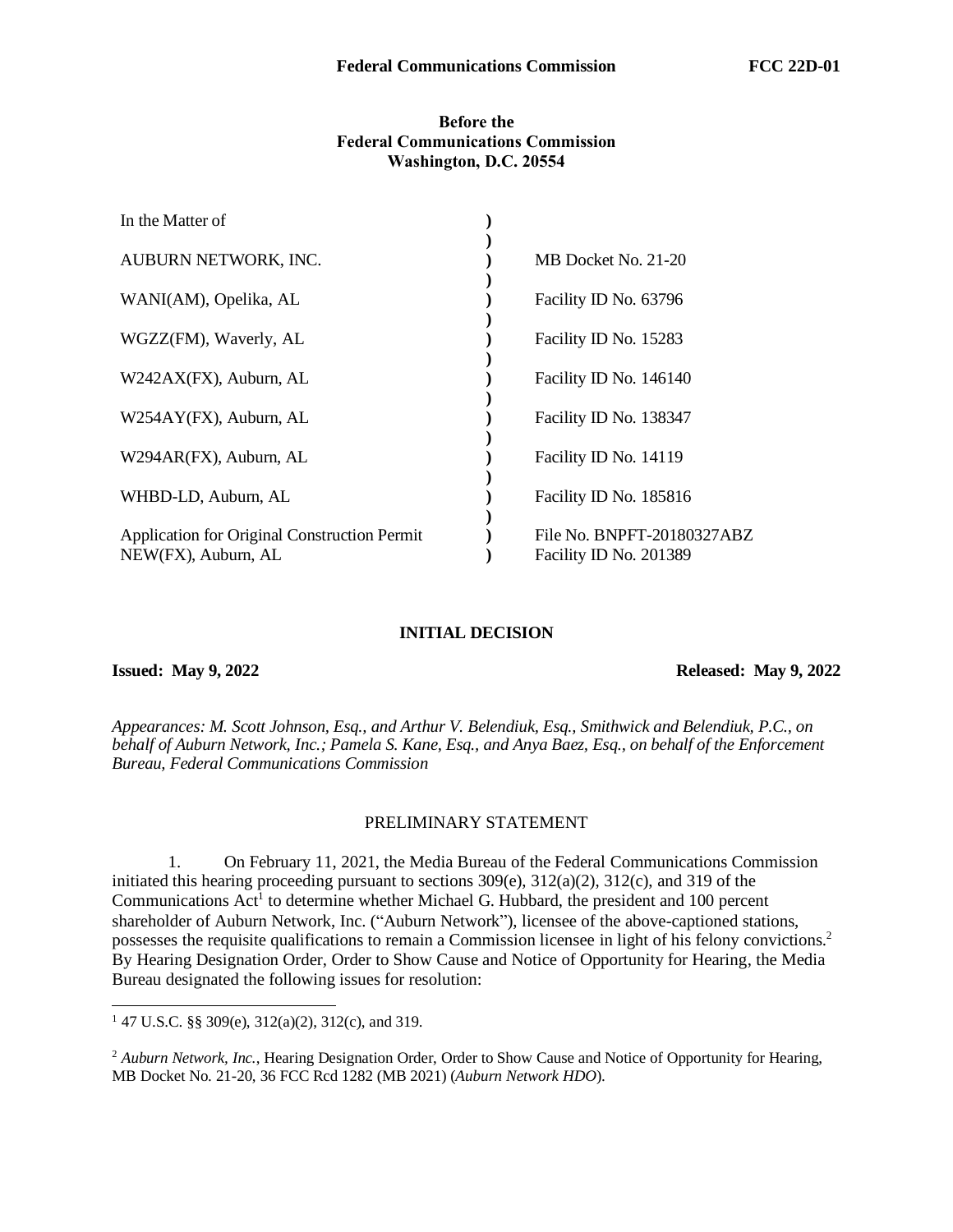## **Before the Federal Communications Commission Washington, D.C. 20554**

| In the Matter of                                                    |                                                      |
|---------------------------------------------------------------------|------------------------------------------------------|
| AUBURN NETWORK, INC.                                                | MB Docket No. 21-20                                  |
| WANI(AM), Opelika, AL                                               | Facility ID No. 63796                                |
| WGZZ(FM), Waverly, AL                                               | Facility ID No. 15283                                |
| W242AX(FX), Auburn, AL                                              | Facility ID No. 146140                               |
| W254AY(FX), Auburn, AL                                              | Facility ID No. 138347                               |
| W294AR(FX), Auburn, AL                                              | Facility ID No. 14119                                |
| WHBD-LD, Auburn, AL                                                 | Facility ID No. 185816                               |
| Application for Original Construction Permit<br>NEW(FX), Auburn, AL | File No. BNPFT-20180327ABZ<br>Facility ID No. 201389 |
|                                                                     |                                                      |

## **INITIAL DECISION**

**Issued: May 9, 2022 Released: May 9, 2022** 

*Appearances: M. Scott Johnson, Esq., and Arthur V. Belendiuk, Esq., Smithwick and Belendiuk, P.C., on behalf of Auburn Network, Inc.; Pamela S. Kane, Esq., and Anya Baez, Esq., on behalf of the Enforcement Bureau, Federal Communications Commission*

## PRELIMINARY STATEMENT

1. On February 11, 2021, the Media Bureau of the Federal Communications Commission initiated this hearing proceeding pursuant to sections 309(e), 312(a)(2), 312(c), and 319 of the Communications  $Act^{\dagger}$  to determine whether Michael G. Hubbard, the president and 100 percent shareholder of Auburn Network, Inc. ("Auburn Network"), licensee of the above-captioned stations, possesses the requisite qualifications to remain a Commission licensee in light of his felony convictions. 2 By Hearing Designation Order, Order to Show Cause and Notice of Opportunity for Hearing, the Media Bureau designated the following issues for resolution:

<sup>&</sup>lt;sup>1</sup> 47 U.S.C. §§ 309(e),  $312(a)(2)$ ,  $312(c)$ , and 319.

<sup>&</sup>lt;sup>2</sup> Auburn Network, Inc., Hearing Designation Order, Order to Show Cause and Notice of Opportunity for Hearing, MB Docket No. 21-20, 36 FCC Rcd 1282 (MB 2021) (*Auburn Network HDO*).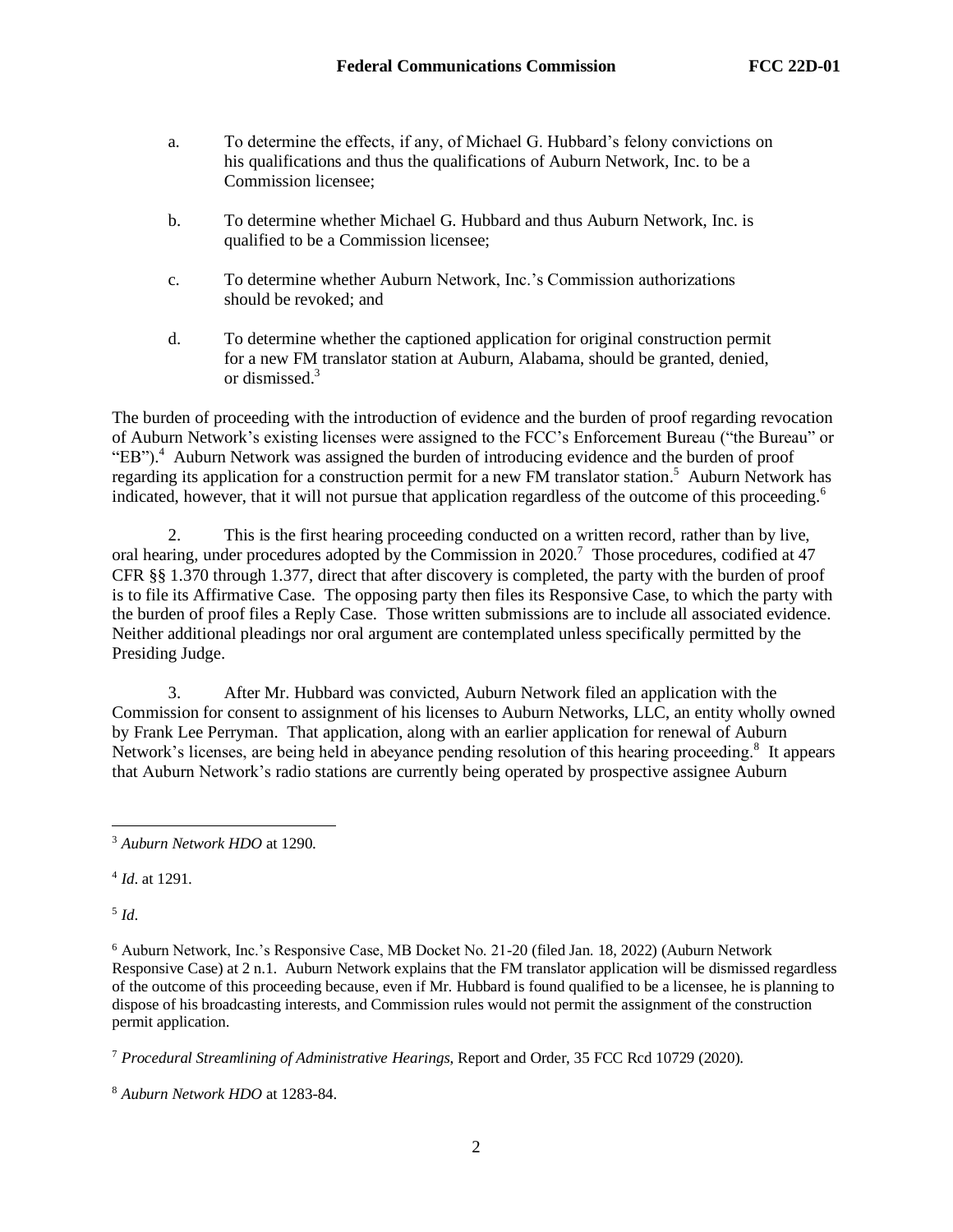- a. To determine the effects, if any, of Michael G. Hubbard's felony convictions on his qualifications and thus the qualifications of Auburn Network, Inc. to be a Commission licensee;
- b. To determine whether Michael G. Hubbard and thus Auburn Network, Inc. is qualified to be a Commission licensee;
- c. To determine whether Auburn Network, Inc.'s Commission authorizations should be revoked; and
- d. To determine whether the captioned application for original construction permit for a new FM translator station at Auburn, Alabama, should be granted, denied, or dismissed.<sup>3</sup>

The burden of proceeding with the introduction of evidence and the burden of proof regarding revocation of Auburn Network's existing licenses were assigned to the FCC's Enforcement Bureau ("the Bureau" or "EB").<sup>4</sup> Auburn Network was assigned the burden of introducing evidence and the burden of proof regarding its application for a construction permit for a new FM translator station.<sup>5</sup> Auburn Network has indicated, however, that it will not pursue that application regardless of the outcome of this proceeding.<sup>6</sup>

2. This is the first hearing proceeding conducted on a written record, rather than by live, oral hearing, under procedures adopted by the Commission in  $2020$ .<sup>7</sup> Those procedures, codified at 47 CFR §§ 1.370 through 1.377, direct that after discovery is completed, the party with the burden of proof is to file its Affirmative Case. The opposing party then files its Responsive Case, to which the party with the burden of proof files a Reply Case. Those written submissions are to include all associated evidence. Neither additional pleadings nor oral argument are contemplated unless specifically permitted by the Presiding Judge.

3. After Mr. Hubbard was convicted, Auburn Network filed an application with the Commission for consent to assignment of his licenses to Auburn Networks, LLC, an entity wholly owned by Frank Lee Perryman. That application, along with an earlier application for renewal of Auburn Network's licenses, are being held in abeyance pending resolution of this hearing proceeding.<sup>8</sup> It appears that Auburn Network's radio stations are currently being operated by prospective assignee Auburn

4 *Id*. at 1291.

5 *Id*.

<sup>6</sup> Auburn Network, Inc.'s Responsive Case, MB Docket No. 21-20 (filed Jan. 18, 2022) (Auburn Network Responsive Case) at 2 n.1. Auburn Network explains that the FM translator application will be dismissed regardless of the outcome of this proceeding because, even if Mr. Hubbard is found qualified to be a licensee, he is planning to dispose of his broadcasting interests, and Commission rules would not permit the assignment of the construction permit application.

<sup>7</sup> *Procedural Streamlining of Administrative Hearings*, Report and Order, 35 FCC Rcd 10729 (2020).

<sup>3</sup> *Auburn Network HDO* at 1290.

<sup>8</sup> *Auburn Network HDO* at 1283-84.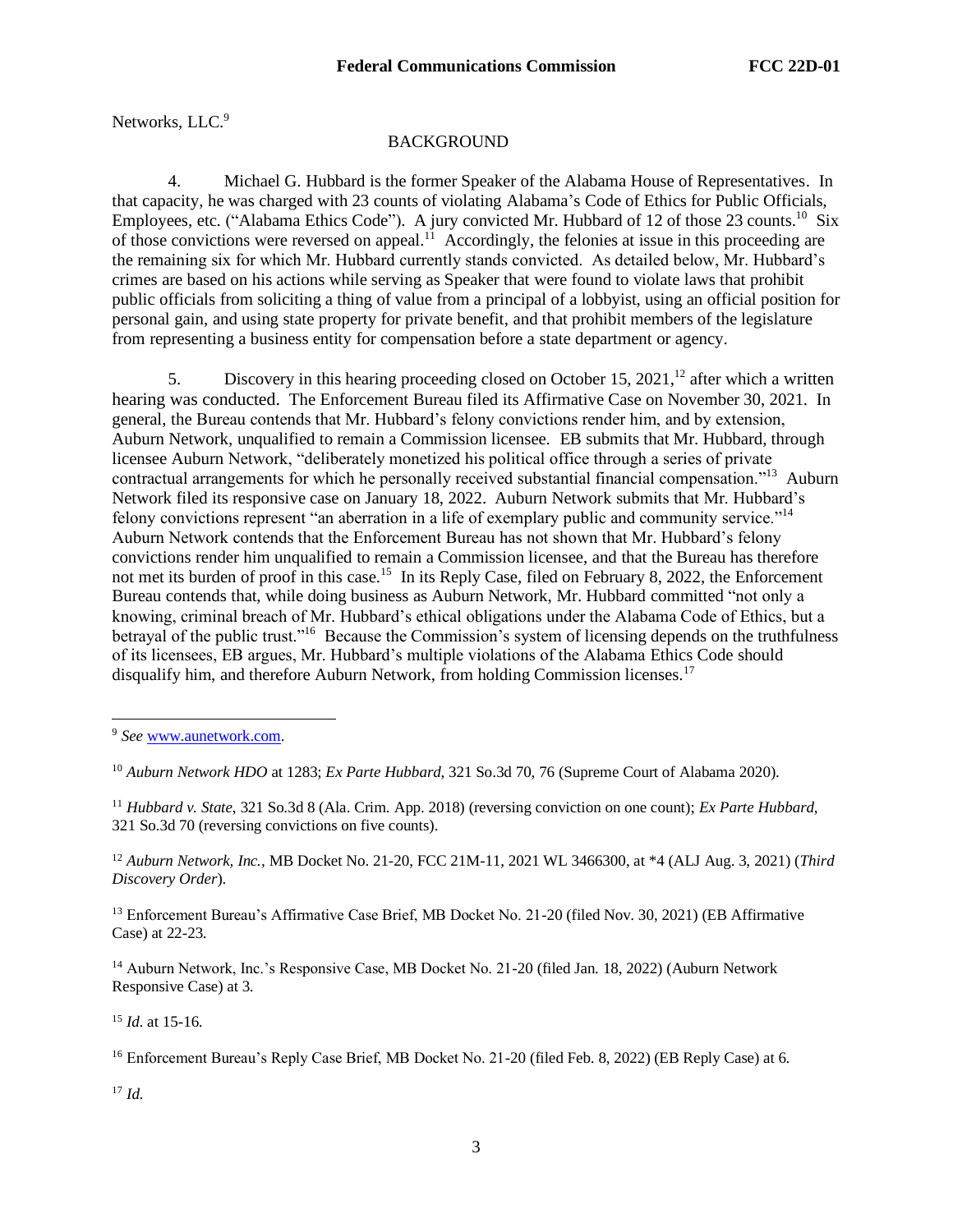Networks, LLC.<sup>9</sup>

# **BACKGROUND**

4. Michael G. Hubbard is the former Speaker of the Alabama House of Representatives. In that capacity, he was charged with 23 counts of violating Alabama's Code of Ethics for Public Officials, Employees, etc. ("Alabama Ethics Code"). A jury convicted Mr. Hubbard of 12 of those 23 counts.<sup>10</sup> Six of those convictions were reversed on appeal.<sup>11</sup> Accordingly, the felonies at issue in this proceeding are the remaining six for which Mr. Hubbard currently stands convicted. As detailed below, Mr. Hubbard's crimes are based on his actions while serving as Speaker that were found to violate laws that prohibit public officials from soliciting a thing of value from a principal of a lobbyist, using an official position for personal gain, and using state property for private benefit, and that prohibit members of the legislature from representing a business entity for compensation before a state department or agency.

5. Discovery in this hearing proceeding closed on October 15,  $2021$ ,<sup>12</sup> after which a written hearing was conducted. The Enforcement Bureau filed its Affirmative Case on November 30, 2021. In general, the Bureau contends that Mr. Hubbard's felony convictions render him, and by extension, Auburn Network, unqualified to remain a Commission licensee. EB submits that Mr. Hubbard, through licensee Auburn Network, "deliberately monetized his political office through a series of private contractual arrangements for which he personally received substantial financial compensation."<sup>13</sup> Auburn Network filed its responsive case on January 18, 2022. Auburn Network submits that Mr. Hubbard's felony convictions represent "an aberration in a life of exemplary public and community service."<sup>14</sup> Auburn Network contends that the Enforcement Bureau has not shown that Mr. Hubbard's felony convictions render him unqualified to remain a Commission licensee, and that the Bureau has therefore not met its burden of proof in this case.<sup>15</sup> In its Reply Case, filed on February 8, 2022, the Enforcement Bureau contends that, while doing business as Auburn Network, Mr. Hubbard committed "not only a knowing, criminal breach of Mr. Hubbard's ethical obligations under the Alabama Code of Ethics, but a betrayal of the public trust."<sup>16</sup> Because the Commission's system of licensing depends on the truthfulness of its licensees, EB argues, Mr. Hubbard's multiple violations of the Alabama Ethics Code should disqualify him, and therefore Auburn Network, from holding Commission licenses.<sup>17</sup>

<sup>11</sup> *Hubbard v. State*, 321 So.3d 8 (Ala. Crim. App. 2018) (reversing conviction on one count); *Ex Parte Hubbard*, 321 So.3d 70 (reversing convictions on five counts).

<sup>12</sup> *Auburn Network, Inc.,* MB Docket No. 21-20, FCC 21M-11, 2021 WL 3466300, at \*4 (ALJ Aug. 3, 2021) (*Third Discovery Order*).

<sup>13</sup> Enforcement Bureau's Affirmative Case Brief, MB Docket No. 21-20 (filed Nov. 30, 2021) (EB Affirmative Case) at 22-23.

<sup>14</sup> Auburn Network, Inc.'s Responsive Case, MB Docket No. 21-20 (filed Jan. 18, 2022) (Auburn Network Responsive Case) at 3.

<sup>15</sup> *Id.* at 15-16.

<sup>16</sup> Enforcement Bureau's Reply Case Brief, MB Docket No. 21-20 (filed Feb. 8, 2022) (EB Reply Case) at 6.

<sup>17</sup> *Id.*

<sup>9</sup> *See* [www.aunetwork.com.](http://www.aunetwork.com/)

<sup>10</sup> *Auburn Network HDO* at 1283; *Ex Parte Hubbard*, 321 So.3d 70, 76 (Supreme Court of Alabama 2020).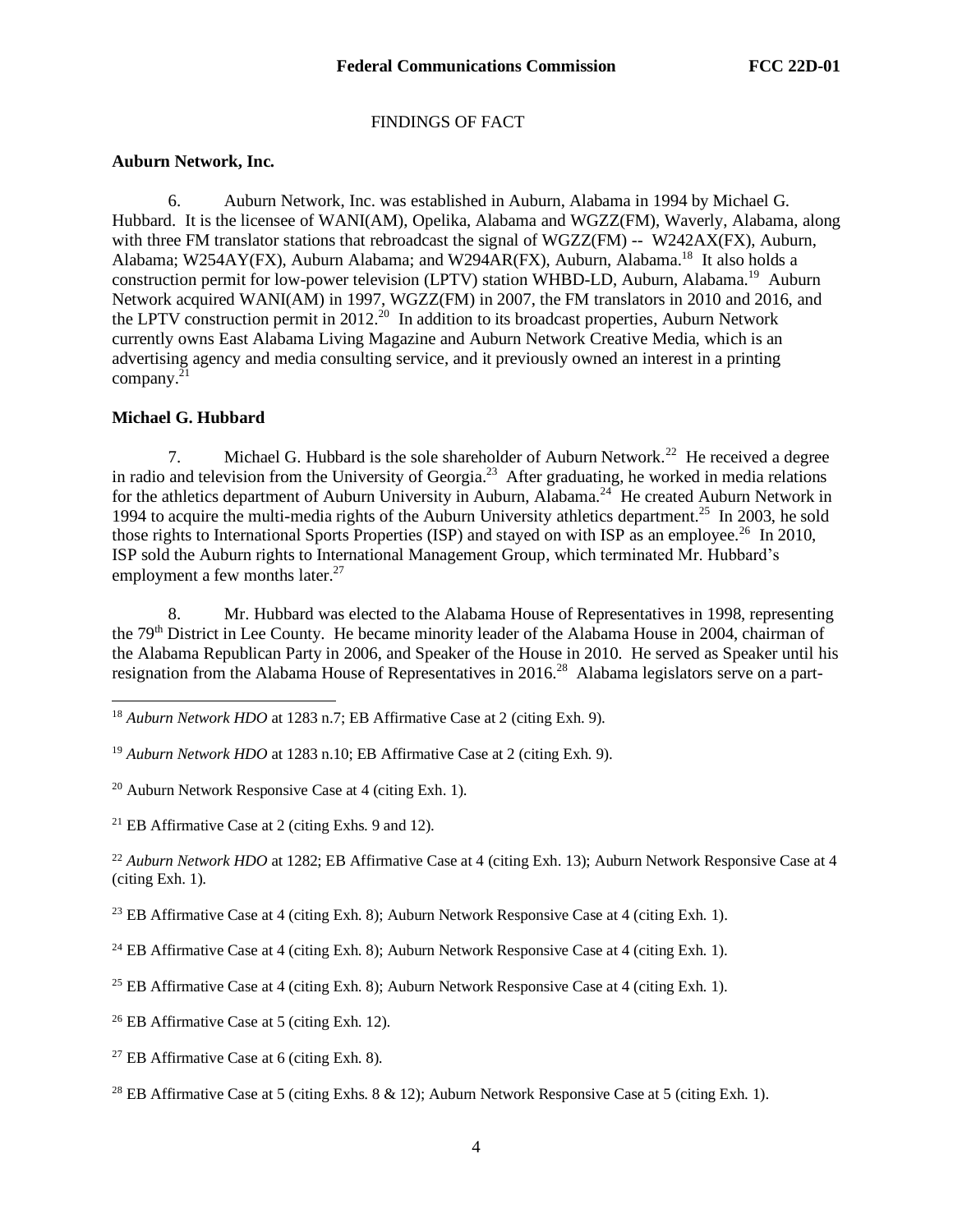## FINDINGS OF FACT

## **Auburn Network, Inc.**

6. Auburn Network, Inc. was established in Auburn, Alabama in 1994 by Michael G. Hubbard. It is the licensee of WANI(AM), Opelika, Alabama and WGZZ(FM), Waverly, Alabama, along with three FM translator stations that rebroadcast the signal of WGZZ(FM) -- W242AX(FX), Auburn, Alabama; W254AY(FX), Auburn Alabama; and W294AR(FX), Auburn, Alabama.<sup>18</sup> It also holds a construction permit for low-power television (LPTV) station WHBD-LD, Auburn, Alabama.<sup>19</sup> Auburn Network acquired WANI(AM) in 1997, WGZZ(FM) in 2007, the FM translators in 2010 and 2016, and the LPTV construction permit in  $2012<sup>20</sup>$  In addition to its broadcast properties, Auburn Network currently owns East Alabama Living Magazine and Auburn Network Creative Media, which is an advertising agency and media consulting service, and it previously owned an interest in a printing company. 21

## **Michael G. Hubbard**

7. Michael G. Hubbard is the sole shareholder of Auburn Network.<sup>22</sup> He received a degree in radio and television from the University of Georgia. $^{23}$  After graduating, he worked in media relations for the athletics department of Auburn University in Auburn, Alabama.<sup>24</sup> He created Auburn Network in 1994 to acquire the multi-media rights of the Auburn University athletics department.<sup>25</sup> In 2003, he sold those rights to International Sports Properties (ISP) and stayed on with ISP as an employee.<sup>26</sup> In 2010, ISP sold the Auburn rights to International Management Group, which terminated Mr. Hubbard's employment a few months later. $27$ 

8. Mr. Hubbard was elected to the Alabama House of Representatives in 1998, representing the 79<sup>th</sup> District in Lee County. He became minority leader of the Alabama House in 2004, chairman of the Alabama Republican Party in 2006, and Speaker of the House in 2010. He served as Speaker until his resignation from the Alabama House of Representatives in 2016.<sup>28</sup> Alabama legislators serve on a part-

 $20$  Auburn Network Responsive Case at 4 (citing Exh. 1).

<sup>21</sup> EB Affirmative Case at 2 (citing Exhs. 9 and 12).

<sup>22</sup> Auburn Network HDO at 1282; EB Affirmative Case at 4 (citing Exh. 13); Auburn Network Responsive Case at 4 (citing Exh. 1).

<sup>23</sup> EB Affirmative Case at 4 (citing Exh. 8); Auburn Network Responsive Case at 4 (citing Exh. 1).

<sup>24</sup> EB Affirmative Case at 4 (citing Exh. 8); Auburn Network Responsive Case at 4 (citing Exh. 1).

<sup>26</sup> EB Affirmative Case at 5 (citing Exh. 12).

<sup>27</sup> EB Affirmative Case at 6 (citing Exh. 8).

<sup>28</sup> EB Affirmative Case at 5 (citing Exhs. 8 & 12); Auburn Network Responsive Case at 5 (citing Exh. 1).

<sup>18</sup> *Auburn Network HDO* at 1283 n.7; EB Affirmative Case at 2 (citing Exh. 9).

<sup>19</sup> *Auburn Network HDO* at 1283 n.10; EB Affirmative Case at 2 (citing Exh. 9).

<sup>&</sup>lt;sup>25</sup> EB Affirmative Case at 4 (citing Exh. 8); Auburn Network Responsive Case at 4 (citing Exh. 1).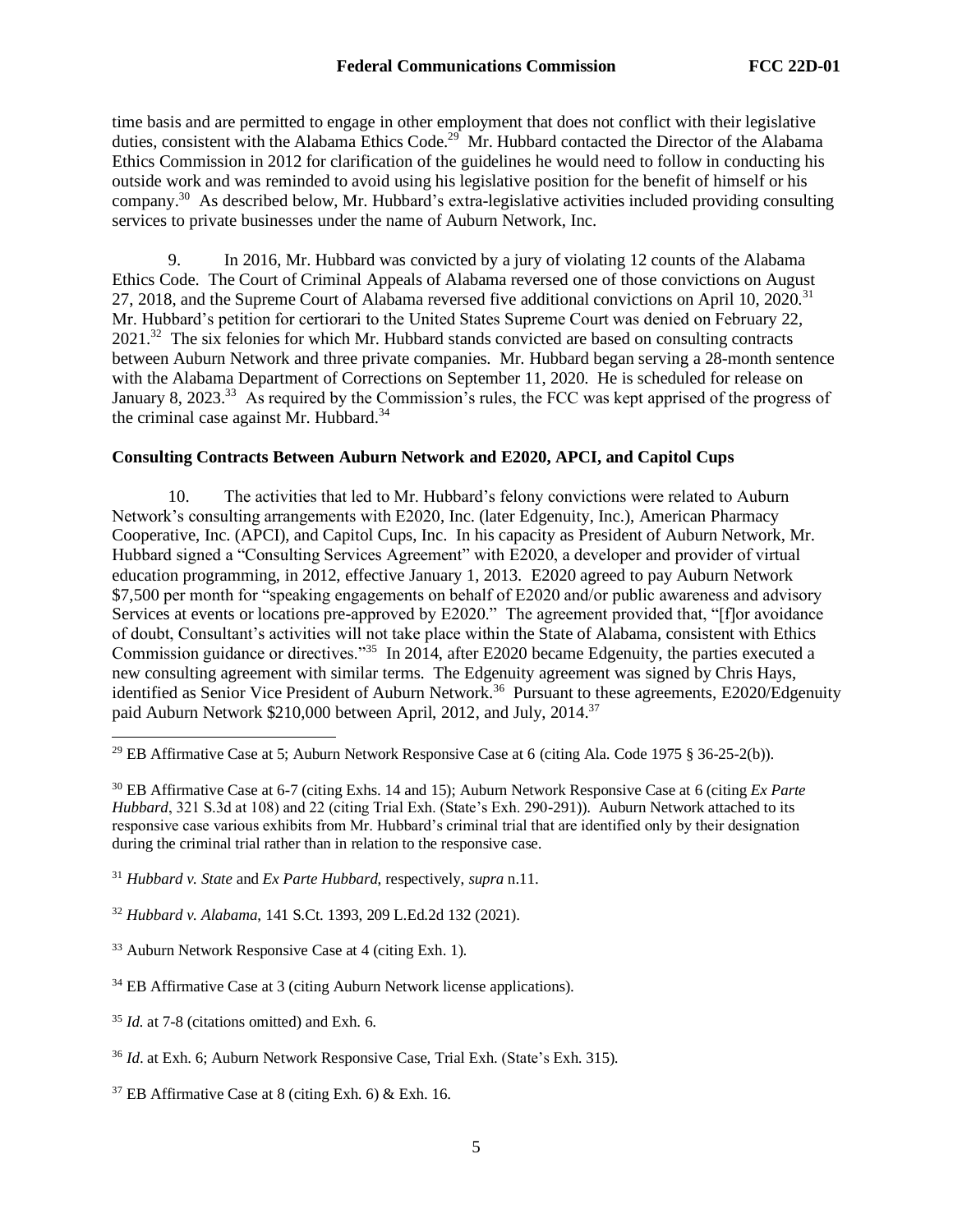time basis and are permitted to engage in other employment that does not conflict with their legislative duties, consistent with the Alabama Ethics Code.<sup>29</sup> Mr. Hubbard contacted the Director of the Alabama Ethics Commission in 2012 for clarification of the guidelines he would need to follow in conducting his outside work and was reminded to avoid using his legislative position for the benefit of himself or his company.<sup>30</sup> As described below, Mr. Hubbard's extra-legislative activities included providing consulting services to private businesses under the name of Auburn Network, Inc.

9. In 2016, Mr. Hubbard was convicted by a jury of violating 12 counts of the Alabama Ethics Code. The Court of Criminal Appeals of Alabama reversed one of those convictions on August 27, 2018, and the Supreme Court of Alabama reversed five additional convictions on April 10, 2020.<sup>31</sup> Mr. Hubbard's petition for certiorari to the United States Supreme Court was denied on February 22, 2021.<sup>32</sup> The six felonies for which Mr. Hubbard stands convicted are based on consulting contracts between Auburn Network and three private companies. Mr. Hubbard began serving a 28-month sentence with the Alabama Department of Corrections on September 11, 2020. He is scheduled for release on January 8, 2023.<sup>33</sup> As required by the Commission's rules, the FCC was kept apprised of the progress of the criminal case against Mr. Hubbard.<sup>34</sup>

## **Consulting Contracts Between Auburn Network and E2020, APCI, and Capitol Cups**

10. The activities that led to Mr. Hubbard's felony convictions were related to Auburn Network's consulting arrangements with E2020, Inc. (later Edgenuity, Inc.), American Pharmacy Cooperative, Inc. (APCI), and Capitol Cups, Inc. In his capacity as President of Auburn Network, Mr. Hubbard signed a "Consulting Services Agreement" with E2020, a developer and provider of virtual education programming, in 2012, effective January 1, 2013. E2020 agreed to pay Auburn Network \$7,500 per month for "speaking engagements on behalf of E2020 and/or public awareness and advisory Services at events or locations pre-approved by E2020." The agreement provided that, "[f]or avoidance of doubt, Consultant's activities will not take place within the State of Alabama, consistent with Ethics Commission guidance or directives."<sup>35</sup> In 2014, after E2020 became Edgenuity, the parties executed a new consulting agreement with similar terms. The Edgenuity agreement was signed by Chris Hays, identified as Senior Vice President of Auburn Network.<sup>36</sup> Pursuant to these agreements, E2020/Edgenuity paid Auburn Network \$210,000 between April, 2012, and July, 2014.<sup>37</sup>

<sup>29</sup> EB Affirmative Case at 5; Auburn Network Responsive Case at 6 (citing Ala. Code 1975 § 36-25-2(b)).

<sup>30</sup> EB Affirmative Case at 6-7 (citing Exhs. 14 and 15); Auburn Network Responsive Case at 6 (citing *Ex Parte Hubbard*, 321 S.3d at 108) and 22 (citing Trial Exh. (State's Exh. 290-291)). Auburn Network attached to its responsive case various exhibits from Mr. Hubbard's criminal trial that are identified only by their designation during the criminal trial rather than in relation to the responsive case.

<sup>31</sup> *Hubbard v. State* and *Ex Parte Hubbard*, respectively, *supra* n.11.

<sup>32</sup> *Hubbard v. Alabama*, 141 S.Ct. 1393, 209 L.Ed.2d 132 (2021).

<sup>33</sup> Auburn Network Responsive Case at 4 (citing Exh. 1).

<sup>34</sup> EB Affirmative Case at 3 (citing Auburn Network license applications).

<sup>35</sup> *Id.* at 7-8 (citations omitted) and Exh. 6.

<sup>36</sup> *Id*. at Exh. 6; Auburn Network Responsive Case, Trial Exh. (State's Exh. 315).

 $37$  EB Affirmative Case at 8 (citing Exh. 6) & Exh. 16.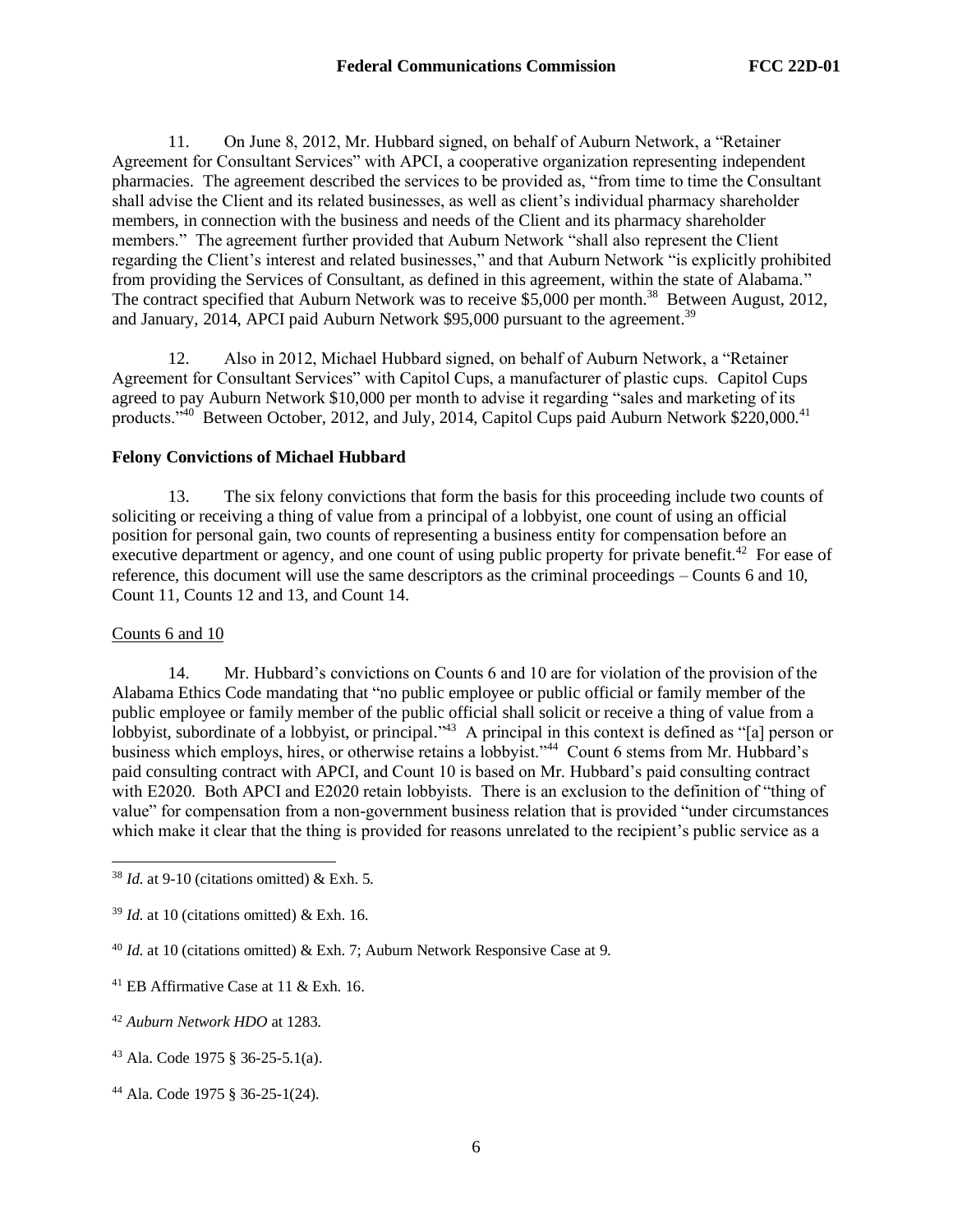11. On June 8, 2012, Mr. Hubbard signed, on behalf of Auburn Network, a "Retainer Agreement for Consultant Services" with APCI, a cooperative organization representing independent pharmacies. The agreement described the services to be provided as, "from time to time the Consultant shall advise the Client and its related businesses, as well as client's individual pharmacy shareholder members, in connection with the business and needs of the Client and its pharmacy shareholder members." The agreement further provided that Auburn Network "shall also represent the Client regarding the Client's interest and related businesses," and that Auburn Network "is explicitly prohibited from providing the Services of Consultant, as defined in this agreement, within the state of Alabama." The contract specified that Auburn Network was to receive \$5,000 per month.<sup>38</sup> Between August, 2012, and January, 2014, APCI paid Auburn Network  $$95,000$  pursuant to the agreement.<sup>39</sup>

12. Also in 2012, Michael Hubbard signed, on behalf of Auburn Network, a "Retainer Agreement for Consultant Services" with Capitol Cups, a manufacturer of plastic cups. Capitol Cups agreed to pay Auburn Network \$10,000 per month to advise it regarding "sales and marketing of its products."<sup>40</sup> Between October, 2012, and July, 2014, Capitol Cups paid Auburn Network \$220,000.<sup>41</sup>

## **Felony Convictions of Michael Hubbard**

13. The six felony convictions that form the basis for this proceeding include two counts of soliciting or receiving a thing of value from a principal of a lobbyist, one count of using an official position for personal gain, two counts of representing a business entity for compensation before an executive department or agency, and one count of using public property for private benefit.<sup>42</sup> For ease of reference, this document will use the same descriptors as the criminal proceedings – Counts 6 and 10, Count 11, Counts 12 and 13, and Count 14.

## Counts 6 and 10

14. Mr. Hubbard's convictions on Counts 6 and 10 are for violation of the provision of the Alabama Ethics Code mandating that "no public employee or public official or family member of the public employee or family member of the public official shall solicit or receive a thing of value from a lobbyist, subordinate of a lobbyist, or principal.<sup> $3$ </sup> A principal in this context is defined as "[a] person or business which employs, hires, or otherwise retains a lobbyist."<sup>44</sup> Count 6 stems from Mr. Hubbard's paid consulting contract with APCI, and Count 10 is based on Mr. Hubbard's paid consulting contract with E2020. Both APCI and E2020 retain lobbyists. There is an exclusion to the definition of "thing of value" for compensation from a non-government business relation that is provided "under circumstances which make it clear that the thing is provided for reasons unrelated to the recipient's public service as a

 $38$  *Id.* at 9-10 (citations omitted) & Exh. 5.

 $39$  *Id.* at 10 (citations omitted) & Exh. 16.

<sup>40</sup> *Id.* at 10 (citations omitted) & Exh. 7; Auburn Network Responsive Case at 9.

<sup>41</sup> EB Affirmative Case at 11 & Exh. 16.

<sup>42</sup> *Auburn Network HDO* at 1283.

<sup>43</sup> Ala. Code 1975 § 36-25-5.1(a).

<sup>44</sup> Ala. Code 1975 § 36-25-1(24).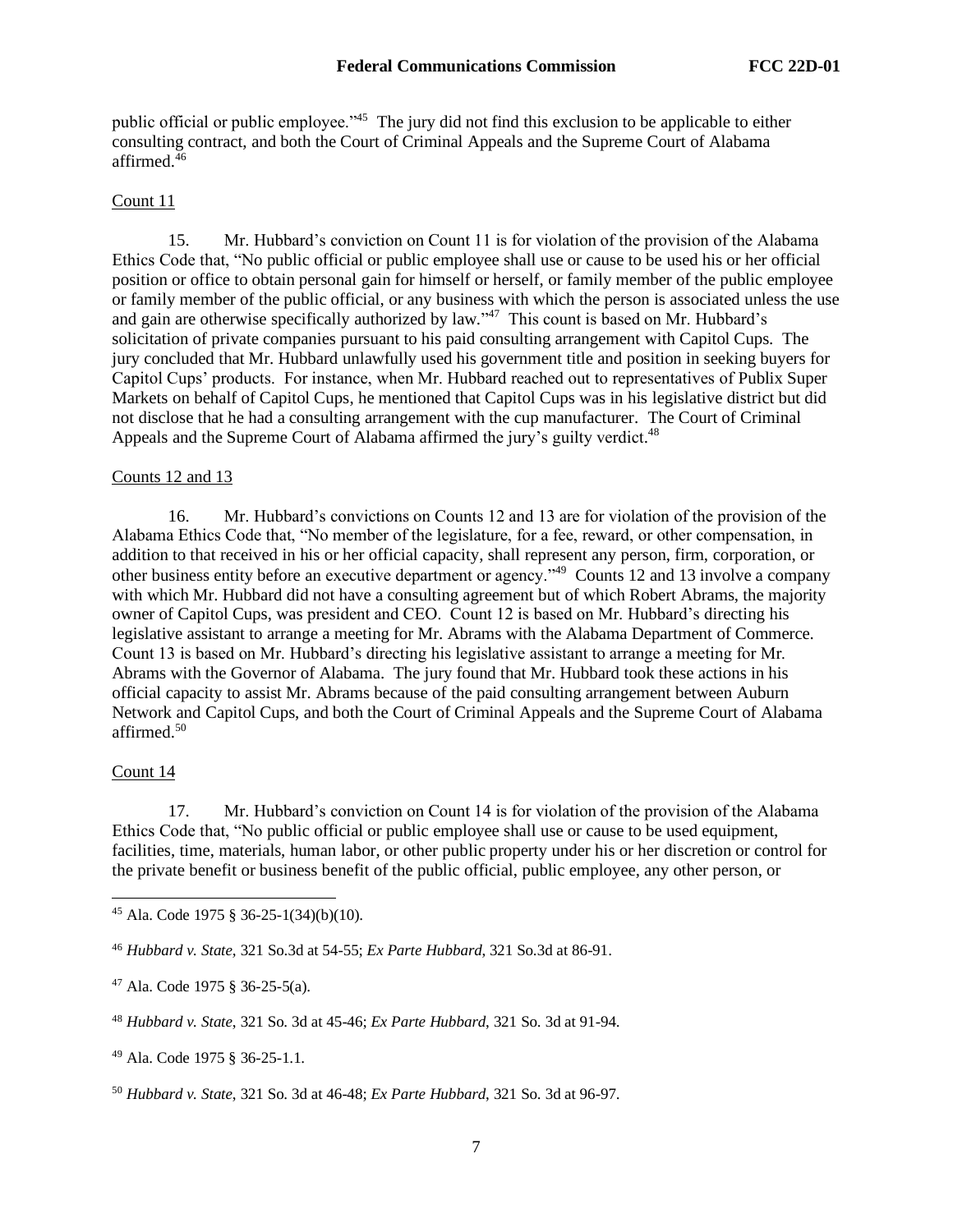public official or public employee."<sup>45</sup> The jury did not find this exclusion to be applicable to either consulting contract, and both the Court of Criminal Appeals and the Supreme Court of Alabama affirmed<sup>46</sup>

### Count 11

15. Mr. Hubbard's conviction on Count 11 is for violation of the provision of the Alabama Ethics Code that, "No public official or public employee shall use or cause to be used his or her official position or office to obtain personal gain for himself or herself, or family member of the public employee or family member of the public official, or any business with which the person is associated unless the use and gain are otherwise specifically authorized by law."<sup>47</sup> This count is based on Mr. Hubbard's solicitation of private companies pursuant to his paid consulting arrangement with Capitol Cups. The jury concluded that Mr. Hubbard unlawfully used his government title and position in seeking buyers for Capitol Cups' products. For instance, when Mr. Hubbard reached out to representatives of Publix Super Markets on behalf of Capitol Cups, he mentioned that Capitol Cups was in his legislative district but did not disclose that he had a consulting arrangement with the cup manufacturer. The Court of Criminal Appeals and the Supreme Court of Alabama affirmed the jury's guilty verdict.<sup>48</sup>

#### Counts 12 and 13

16. Mr. Hubbard's convictions on Counts 12 and 13 are for violation of the provision of the Alabama Ethics Code that, "No member of the legislature, for a fee, reward, or other compensation, in addition to that received in his or her official capacity, shall represent any person, firm, corporation, or other business entity before an executive department or agency."<sup>49</sup> Counts 12 and 13 involve a company with which Mr. Hubbard did not have a consulting agreement but of which Robert Abrams, the majority owner of Capitol Cups, was president and CEO. Count 12 is based on Mr. Hubbard's directing his legislative assistant to arrange a meeting for Mr. Abrams with the Alabama Department of Commerce. Count 13 is based on Mr. Hubbard's directing his legislative assistant to arrange a meeting for Mr. Abrams with the Governor of Alabama. The jury found that Mr. Hubbard took these actions in his official capacity to assist Mr. Abrams because of the paid consulting arrangement between Auburn Network and Capitol Cups, and both the Court of Criminal Appeals and the Supreme Court of Alabama affirmed. 50

### Count 14

17. Mr. Hubbard's conviction on Count 14 is for violation of the provision of the Alabama Ethics Code that, "No public official or public employee shall use or cause to be used equipment, facilities, time, materials, human labor, or other public property under his or her discretion or control for the private benefit or business benefit of the public official, public employee, any other person, or

<sup>45</sup> Ala. Code 1975 § 36-25-1(34)(b)(10).

<sup>46</sup> *Hubbard v. State,* 321 So.3d at 54-55; *Ex Parte Hubbard*, 321 So.3d at 86-91.

<sup>47</sup> Ala. Code 1975 § 36-25-5(a).

<sup>48</sup> *Hubbard v. State*, 321 So. 3d at 45-46; *Ex Parte Hubbard*, 321 So. 3d at 91-94.

<sup>49</sup> Ala. Code 1975 § 36-25-1.1.

<sup>50</sup> *Hubbard v. State*, 321 So. 3d at 46-48; *Ex Parte Hubbard*, 321 So. 3d at 96-97.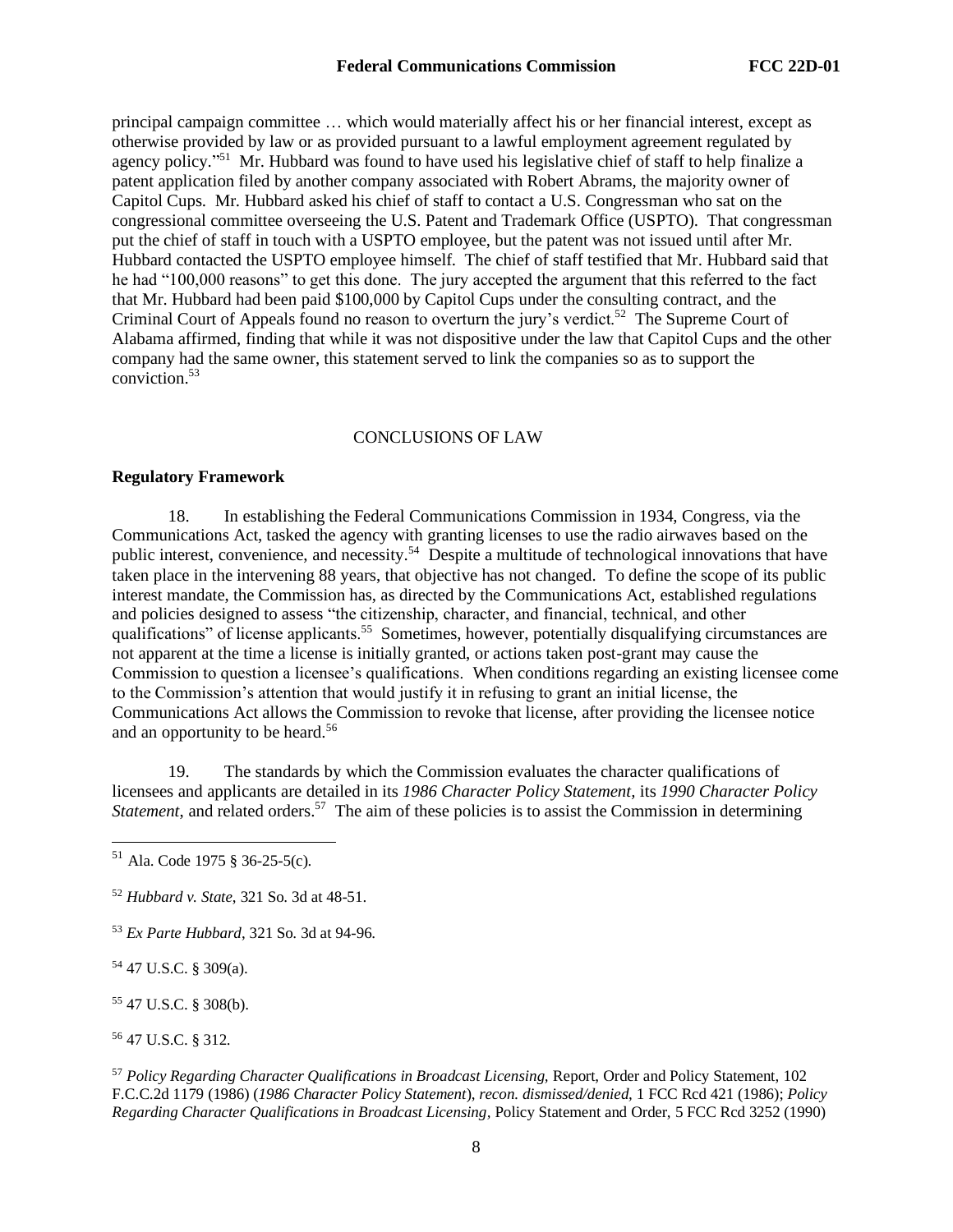principal campaign committee … which would materially affect his or her financial interest, except as otherwise provided by law or as provided pursuant to a lawful employment agreement regulated by agency policy."<sup>51</sup> Mr. Hubbard was found to have used his legislative chief of staff to help finalize a patent application filed by another company associated with Robert Abrams, the majority owner of Capitol Cups. Mr. Hubbard asked his chief of staff to contact a U.S. Congressman who sat on the congressional committee overseeing the U.S. Patent and Trademark Office (USPTO). That congressman put the chief of staff in touch with a USPTO employee, but the patent was not issued until after Mr. Hubbard contacted the USPTO employee himself. The chief of staff testified that Mr. Hubbard said that he had "100,000 reasons" to get this done. The jury accepted the argument that this referred to the fact that Mr. Hubbard had been paid \$100,000 by Capitol Cups under the consulting contract, and the Criminal Court of Appeals found no reason to overturn the jury's verdict.<sup>52</sup> The Supreme Court of Alabama affirmed, finding that while it was not dispositive under the law that Capitol Cups and the other company had the same owner, this statement served to link the companies so as to support the conviction.<sup>53</sup>

## CONCLUSIONS OF LAW

#### **Regulatory Framework**

18. In establishing the Federal Communications Commission in 1934, Congress, via the Communications Act, tasked the agency with granting licenses to use the radio airwaves based on the public interest, convenience, and necessity.<sup>54</sup> Despite a multitude of technological innovations that have taken place in the intervening 88 years, that objective has not changed. To define the scope of its public interest mandate, the Commission has, as directed by the Communications Act, established regulations and policies designed to assess "the citizenship, character, and financial, technical, and other qualifications" of license applicants.<sup>55</sup> Sometimes, however, potentially disqualifying circumstances are not apparent at the time a license is initially granted, or actions taken post-grant may cause the Commission to question a licensee's qualifications. When conditions regarding an existing licensee come to the Commission's attention that would justify it in refusing to grant an initial license, the Communications Act allows the Commission to revoke that license, after providing the licensee notice and an opportunity to be heard.<sup>56</sup>

19. The standards by which the Commission evaluates the character qualifications of licensees and applicants are detailed in its *1986 Character Policy Statement,* its *1990 Character Policy*  Statement, and related orders.<sup>57</sup> The aim of these policies is to assist the Commission in determining

<sup>54</sup> 47 U.S.C. § 309(a).

<sup>55</sup> 47 U.S.C. § 308(b).

<sup>56</sup> 47 U.S.C. § 312.

 $51$  Ala. Code 1975 § 36-25-5(c).

<sup>52</sup> *Hubbard v. State*, 321 So. 3d at 48-51.

<sup>53</sup> *Ex Parte Hubbard*, 321 So. 3d at 94-96.

<sup>57</sup> *Policy Regarding Character Qualifications in Broadcast Licensing,* Report, Order and Policy Statement, 102 F.C.C.2d 1179 (1986) (*1986 Character Policy Statement*), *recon. dismissed/denied,* 1 FCC Rcd 421 (1986); *Policy Regarding Character Qualifications in Broadcast Licensing,* Policy Statement and Order, 5 FCC Rcd 3252 (1990)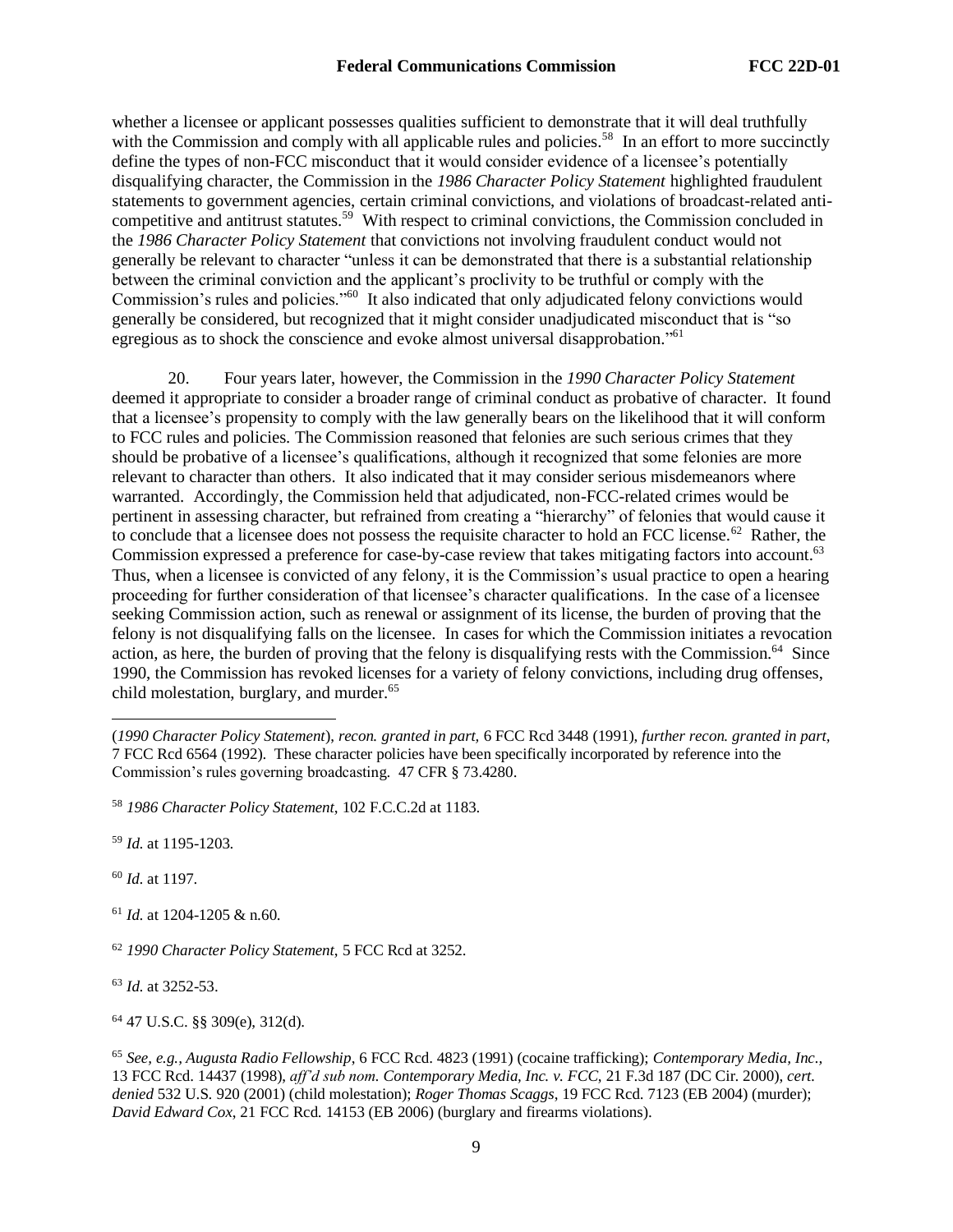whether a licensee or applicant possesses qualities sufficient to demonstrate that it will deal truthfully with the Commission and comply with all applicable rules and policies.<sup>58</sup> In an effort to more succinctly define the types of non-FCC misconduct that it would consider evidence of a licensee's potentially disqualifying character, the Commission in the *1986 Character Policy Statement* highlighted fraudulent statements to government agencies, certain criminal convictions, and violations of broadcast-related anticompetitive and antitrust statutes.<sup>59</sup> With respect to criminal convictions, the Commission concluded in the *1986 Character Policy Statement* that convictions not involving fraudulent conduct would not generally be relevant to character "unless it can be demonstrated that there is a substantial relationship between the criminal conviction and the applicant's proclivity to be truthful or comply with the Commission's rules and policies."<sup>60</sup> It also indicated that only adjudicated felony convictions would generally be considered, but recognized that it might consider unadjudicated misconduct that is "so egregious as to shock the conscience and evoke almost universal disapprobation."<sup>61</sup>

20. Four years later, however, the Commission in the *1990 Character Policy Statement*  deemed it appropriate to consider a broader range of criminal conduct as probative of character. It found that a licensee's propensity to comply with the law generally bears on the likelihood that it will conform to FCC rules and policies. The Commission reasoned that felonies are such serious crimes that they should be probative of a licensee's qualifications, although it recognized that some felonies are more relevant to character than others. It also indicated that it may consider serious misdemeanors where warranted. Accordingly, the Commission held that adjudicated, non-FCC-related crimes would be pertinent in assessing character, but refrained from creating a "hierarchy" of felonies that would cause it to conclude that a licensee does not possess the requisite character to hold an FCC license.<sup>62</sup> Rather, the Commission expressed a preference for case-by-case review that takes mitigating factors into account.<sup>63</sup> Thus, when a licensee is convicted of any felony, it is the Commission's usual practice to open a hearing proceeding for further consideration of that licensee's character qualifications. In the case of a licensee seeking Commission action, such as renewal or assignment of its license, the burden of proving that the felony is not disqualifying falls on the licensee. In cases for which the Commission initiates a revocation action, as here, the burden of proving that the felony is disqualifying rests with the Commission.<sup>64</sup> Since 1990, the Commission has revoked licenses for a variety of felony convictions, including drug offenses, child molestation, burglary, and murder.<sup>65</sup>

<sup>59</sup> *Id.* at 1195-1203.

<sup>60</sup> *Id.* at 1197.

<sup>61</sup> *Id.* at 1204-1205 & n.60.

<sup>63</sup> *Id.* at 3252-53.

<sup>64</sup> 47 U.S.C. §§ 309(e), 312(d).

<sup>(</sup>*1990 Character Policy Statement*), *recon. granted in part,* 6 FCC Rcd 3448 (1991), *further recon. granted in part,*  7 FCC Rcd 6564 (1992). These character policies have been specifically incorporated by reference into the Commission's rules governing broadcasting. 47 CFR § 73.4280.

<sup>58</sup> *1986 Character Policy Statement*, 102 F.C.C.2d at 1183.

<sup>62</sup> *1990 Character Policy Statement*, 5 FCC Rcd at 3252.

<sup>65</sup> *See, e.g., Augusta Radio Fellowship*, 6 FCC Rcd. 4823 (1991) (cocaine trafficking); *Contemporary Media, Inc.,*  13 FCC Rcd. 14437 (1998), *aff'd sub nom. Contemporary Media, Inc. v. FCC*, 21 F.3d 187 (DC Cir. 2000), *cert. denied* 532 U.S. 920 (2001) (child molestation); *Roger Thomas Scaggs*, 19 FCC Rcd. 7123 (EB 2004) (murder); *David Edward Cox*, 21 FCC Rcd. 14153 (EB 2006) (burglary and firearms violations).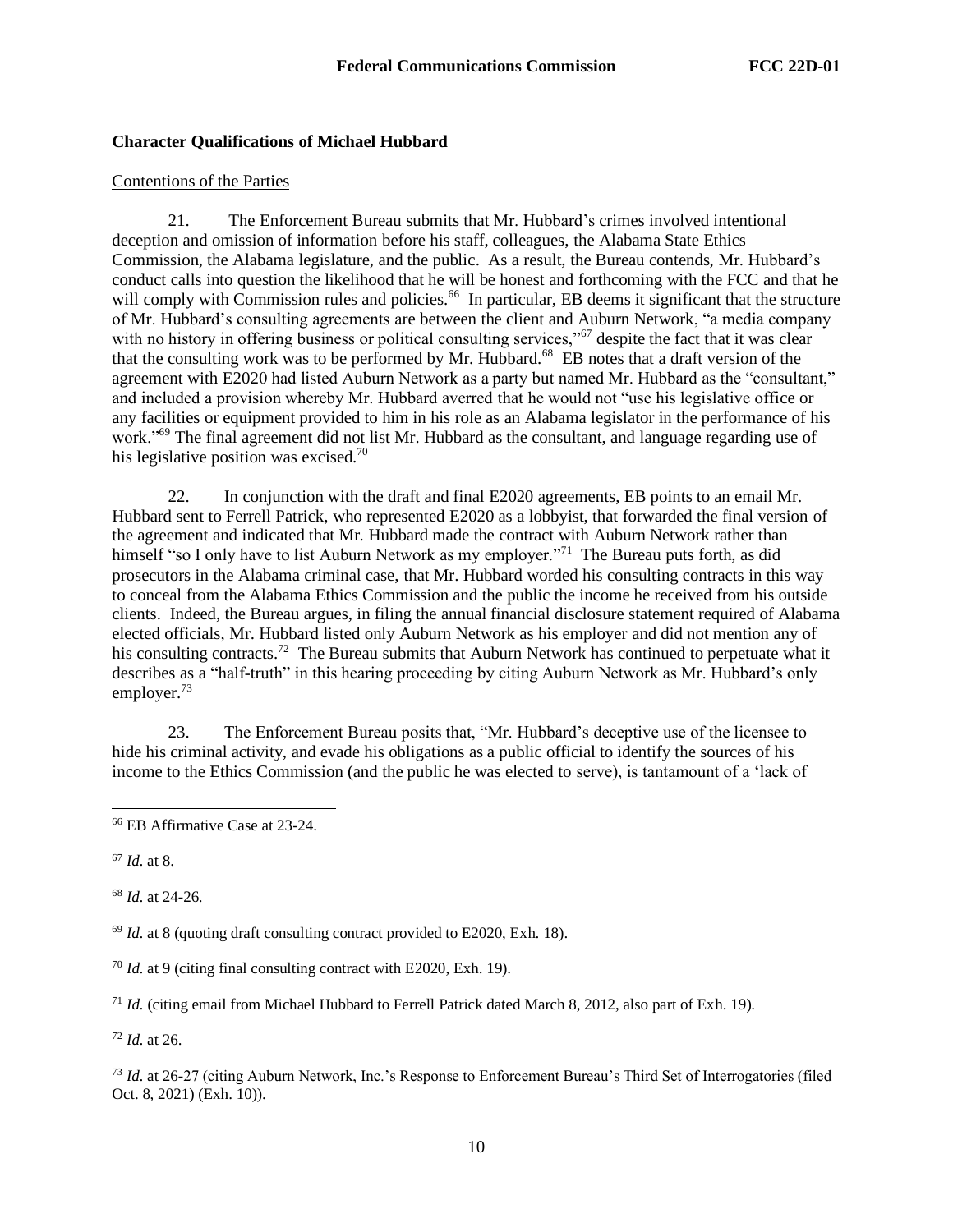## **Character Qualifications of Michael Hubbard**

### Contentions of the Parties

21. The Enforcement Bureau submits that Mr. Hubbard's crimes involved intentional deception and omission of information before his staff, colleagues, the Alabama State Ethics Commission, the Alabama legislature, and the public. As a result, the Bureau contends, Mr. Hubbard's conduct calls into question the likelihood that he will be honest and forthcoming with the FCC and that he will comply with Commission rules and policies.<sup>66</sup> In particular, EB deems it significant that the structure of Mr. Hubbard's consulting agreements are between the client and Auburn Network, "a media company with no history in offering business or political consulting services,"<sup>67</sup> despite the fact that it was clear that the consulting work was to be performed by Mr. Hubbard.<sup>68</sup> EB notes that a draft version of the agreement with E2020 had listed Auburn Network as a party but named Mr. Hubbard as the "consultant," and included a provision whereby Mr. Hubbard averred that he would not "use his legislative office or any facilities or equipment provided to him in his role as an Alabama legislator in the performance of his work."<sup>69</sup> The final agreement did not list Mr. Hubbard as the consultant, and language regarding use of his legislative position was excised.<sup>70</sup>

22. In conjunction with the draft and final E2020 agreements, EB points to an email Mr. Hubbard sent to Ferrell Patrick, who represented E2020 as a lobbyist, that forwarded the final version of the agreement and indicated that Mr. Hubbard made the contract with Auburn Network rather than himself "so I only have to list Auburn Network as my employer."<sup>71</sup> The Bureau puts forth, as did prosecutors in the Alabama criminal case, that Mr. Hubbard worded his consulting contracts in this way to conceal from the Alabama Ethics Commission and the public the income he received from his outside clients. Indeed, the Bureau argues, in filing the annual financial disclosure statement required of Alabama elected officials, Mr. Hubbard listed only Auburn Network as his employer and did not mention any of his consulting contracts.<sup>72</sup> The Bureau submits that Auburn Network has continued to perpetuate what it describes as a "half-truth" in this hearing proceeding by citing Auburn Network as Mr. Hubbard's only employer.<sup>73</sup>

23. The Enforcement Bureau posits that, "Mr. Hubbard's deceptive use of the licensee to hide his criminal activity, and evade his obligations as a public official to identify the sources of his income to the Ethics Commission (and the public he was elected to serve), is tantamount of a 'lack of

<sup>67</sup> *Id.* at 8.

<sup>68</sup> *Id.* at 24-26.

<sup>69</sup> *Id.* at 8 (quoting draft consulting contract provided to E2020, Exh. 18).

<sup>70</sup> *Id.* at 9 (citing final consulting contract with E2020, Exh. 19).

<sup>71</sup> *Id.* (citing email from Michael Hubbard to Ferrell Patrick dated March 8, 2012, also part of Exh. 19).

<sup>72</sup> *Id.* at 26.

<sup>73</sup> *Id.* at 26-27 (citing Auburn Network, Inc.'s Response to Enforcement Bureau's Third Set of Interrogatories (filed Oct. 8, 2021) (Exh. 10)).

<sup>66</sup> EB Affirmative Case at 23-24.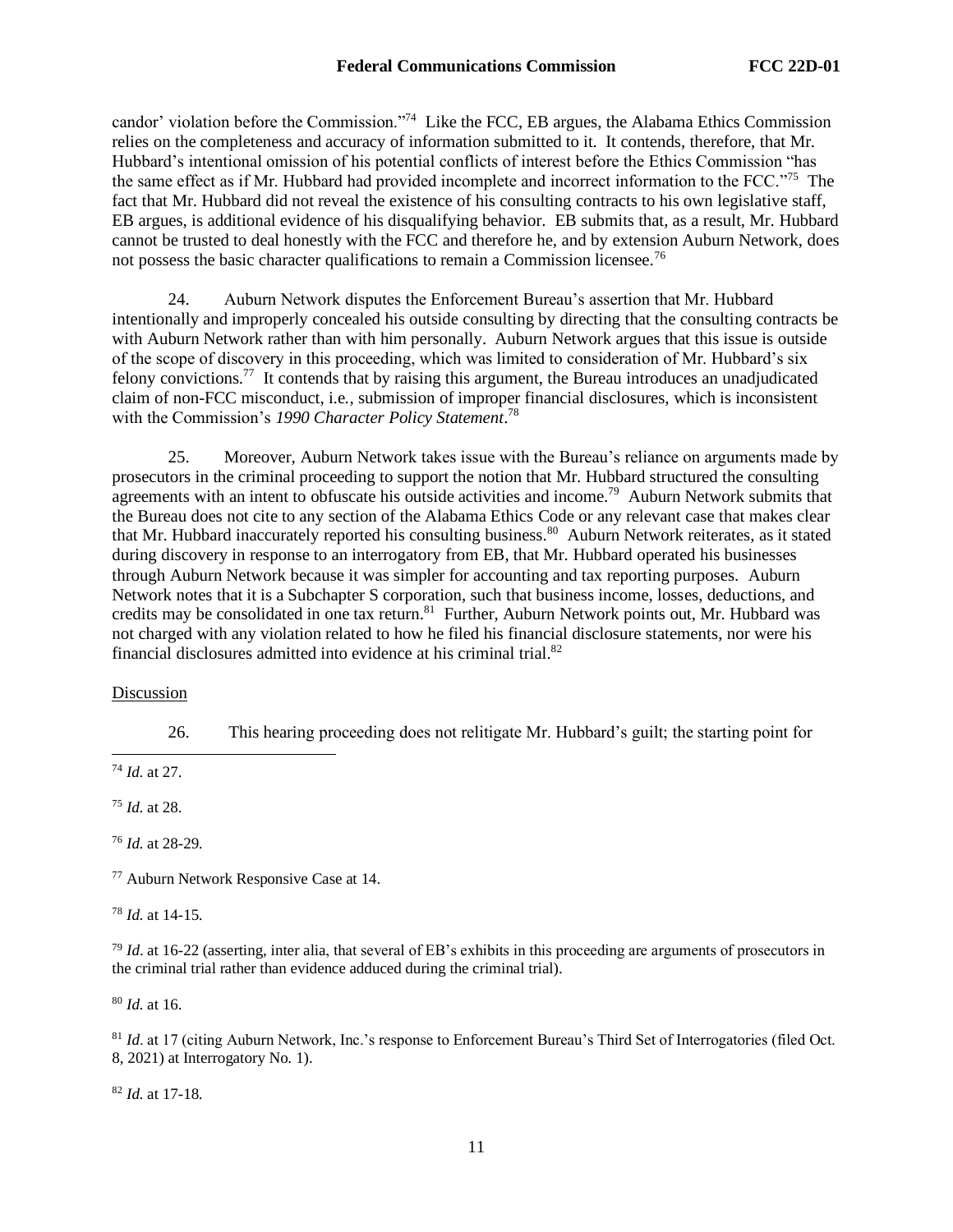candor' violation before the Commission."<sup>74</sup> Like the FCC, EB argues, the Alabama Ethics Commission relies on the completeness and accuracy of information submitted to it. It contends, therefore, that Mr. Hubbard's intentional omission of his potential conflicts of interest before the Ethics Commission "has the same effect as if Mr. Hubbard had provided incomplete and incorrect information to the FCC."<sup>75</sup> The fact that Mr. Hubbard did not reveal the existence of his consulting contracts to his own legislative staff, EB argues, is additional evidence of his disqualifying behavior. EB submits that, as a result, Mr. Hubbard cannot be trusted to deal honestly with the FCC and therefore he, and by extension Auburn Network, does not possess the basic character qualifications to remain a Commission licensee.<sup>76</sup>

24. Auburn Network disputes the Enforcement Bureau's assertion that Mr. Hubbard intentionally and improperly concealed his outside consulting by directing that the consulting contracts be with Auburn Network rather than with him personally. Auburn Network argues that this issue is outside of the scope of discovery in this proceeding, which was limited to consideration of Mr. Hubbard's six felony convictions.<sup>77</sup> It contends that by raising this argument, the Bureau introduces an unadjudicated claim of non-FCC misconduct, i.e*.*, submission of improper financial disclosures, which is inconsistent with the Commission's *1990 Character Policy Statement*. 78

25. Moreover, Auburn Network takes issue with the Bureau's reliance on arguments made by prosecutors in the criminal proceeding to support the notion that Mr. Hubbard structured the consulting agreements with an intent to obfuscate his outside activities and income.<sup>79</sup> Auburn Network submits that the Bureau does not cite to any section of the Alabama Ethics Code or any relevant case that makes clear that Mr. Hubbard inaccurately reported his consulting business.<sup>80</sup> Auburn Network reiterates, as it stated during discovery in response to an interrogatory from EB, that Mr. Hubbard operated his businesses through Auburn Network because it was simpler for accounting and tax reporting purposes. Auburn Network notes that it is a Subchapter S corporation, such that business income, losses, deductions, and credits may be consolidated in one tax return.<sup>81</sup> Further, Auburn Network points out, Mr. Hubbard was not charged with any violation related to how he filed his financial disclosure statements, nor were his financial disclosures admitted into evidence at his criminal trial.<sup>82</sup>

### Discussion

26. This hearing proceeding does not relitigate Mr. Hubbard's guilt; the starting point for

<sup>74</sup> *Id.* at 27.

<sup>75</sup> *Id.* at 28.

<sup>76</sup> *Id.* at 28-29.

<sup>77</sup> Auburn Network Responsive Case at 14.

<sup>78</sup> *Id.* at 14-15.

<sup>79</sup> *Id.* at 16-22 (asserting, inter alia, that several of EB's exhibits in this proceeding are arguments of prosecutors in the criminal trial rather than evidence adduced during the criminal trial).

<sup>80</sup> *Id.* at 16.

<sup>81</sup> *Id.* at 17 (citing Auburn Network, Inc.'s response to Enforcement Bureau's Third Set of Interrogatories (filed Oct. 8, 2021) at Interrogatory No. 1).

<sup>82</sup> *Id.* at 17-18.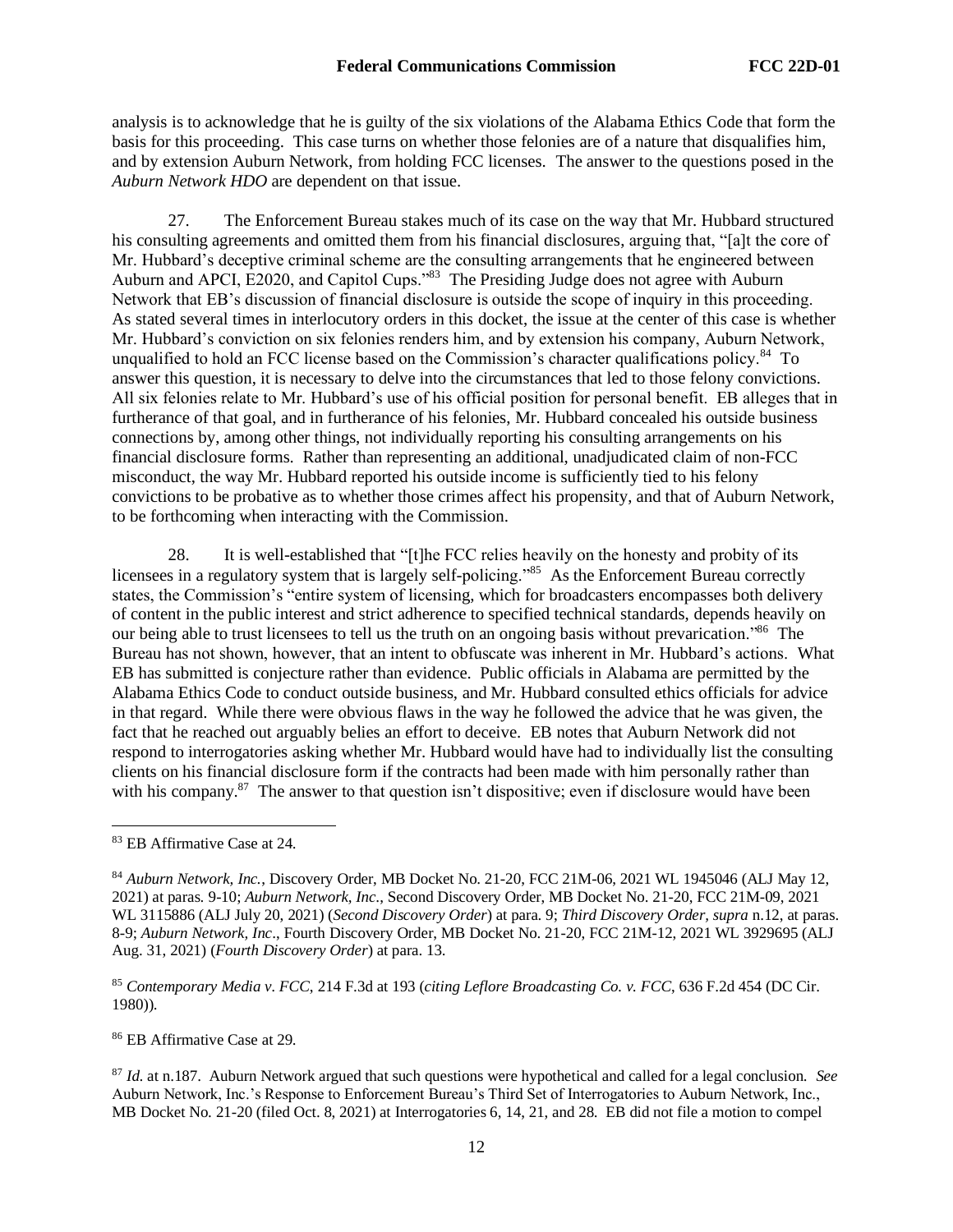analysis is to acknowledge that he is guilty of the six violations of the Alabama Ethics Code that form the basis for this proceeding. This case turns on whether those felonies are of a nature that disqualifies him, and by extension Auburn Network, from holding FCC licenses. The answer to the questions posed in the *Auburn Network HDO* are dependent on that issue.

27. The Enforcement Bureau stakes much of its case on the way that Mr. Hubbard structured his consulting agreements and omitted them from his financial disclosures, arguing that, "[a]t the core of Mr. Hubbard's deceptive criminal scheme are the consulting arrangements that he engineered between Auburn and APCI, E2020, and Capitol Cups."<sup>83</sup> The Presiding Judge does not agree with Auburn Network that EB's discussion of financial disclosure is outside the scope of inquiry in this proceeding. As stated several times in interlocutory orders in this docket, the issue at the center of this case is whether Mr. Hubbard's conviction on six felonies renders him, and by extension his company, Auburn Network, unqualified to hold an FCC license based on the Commission's character qualifications policy.<sup>84</sup> To answer this question, it is necessary to delve into the circumstances that led to those felony convictions. All six felonies relate to Mr. Hubbard's use of his official position for personal benefit. EB alleges that in furtherance of that goal, and in furtherance of his felonies, Mr. Hubbard concealed his outside business connections by, among other things, not individually reporting his consulting arrangements on his financial disclosure forms. Rather than representing an additional, unadjudicated claim of non-FCC misconduct, the way Mr. Hubbard reported his outside income is sufficiently tied to his felony convictions to be probative as to whether those crimes affect his propensity, and that of Auburn Network, to be forthcoming when interacting with the Commission.

28. It is well-established that "[t]he FCC relies heavily on the honesty and probity of its licensees in a regulatory system that is largely self-policing."<sup>85</sup> As the Enforcement Bureau correctly states, the Commission's "entire system of licensing, which for broadcasters encompasses both delivery of content in the public interest and strict adherence to specified technical standards, depends heavily on our being able to trust licensees to tell us the truth on an ongoing basis without prevarication."<sup>86</sup> The Bureau has not shown, however, that an intent to obfuscate was inherent in Mr. Hubbard's actions. What EB has submitted is conjecture rather than evidence. Public officials in Alabama are permitted by the Alabama Ethics Code to conduct outside business, and Mr. Hubbard consulted ethics officials for advice in that regard. While there were obvious flaws in the way he followed the advice that he was given, the fact that he reached out arguably belies an effort to deceive. EB notes that Auburn Network did not respond to interrogatories asking whether Mr. Hubbard would have had to individually list the consulting clients on his financial disclosure form if the contracts had been made with him personally rather than with his company.<sup>87</sup> The answer to that question isn't dispositive; even if disclosure would have been

<sup>86</sup> EB Affirmative Case at 29.

<sup>83</sup> EB Affirmative Case at 24.

<sup>84</sup> *Auburn Network, Inc.*, Discovery Order, MB Docket No. 21-20, FCC 21M-06, 2021 WL 1945046 (ALJ May 12, 2021) at paras. 9-10; *Auburn Network, Inc*., Second Discovery Order, MB Docket No. 21-20, FCC 21M-09, 2021 WL 3115886 (ALJ July 20, 2021) (*Second Discovery Order*) at para. 9; *Third Discovery Order, supra* n.12, at paras. 8-9; *Auburn Network, Inc*., Fourth Discovery Order, MB Docket No. 21-20, FCC 21M-12, 2021 WL 3929695 (ALJ Aug. 31, 2021) (*Fourth Discovery Order*) at para. 13.

<sup>85</sup> *Contemporary Media v. FCC*, 214 F.3d at 193 (*citing Leflore Broadcasting Co. v. FCC*, 636 F.2d 454 (DC Cir. 1980)).

<sup>87</sup> *Id.* at n.187. Auburn Network argued that such questions were hypothetical and called for a legal conclusion. *See*  Auburn Network, Inc.'s Response to Enforcement Bureau's Third Set of Interrogatories to Auburn Network, Inc., MB Docket No. 21-20 (filed Oct. 8, 2021) at Interrogatories 6, 14, 21, and 28. EB did not file a motion to compel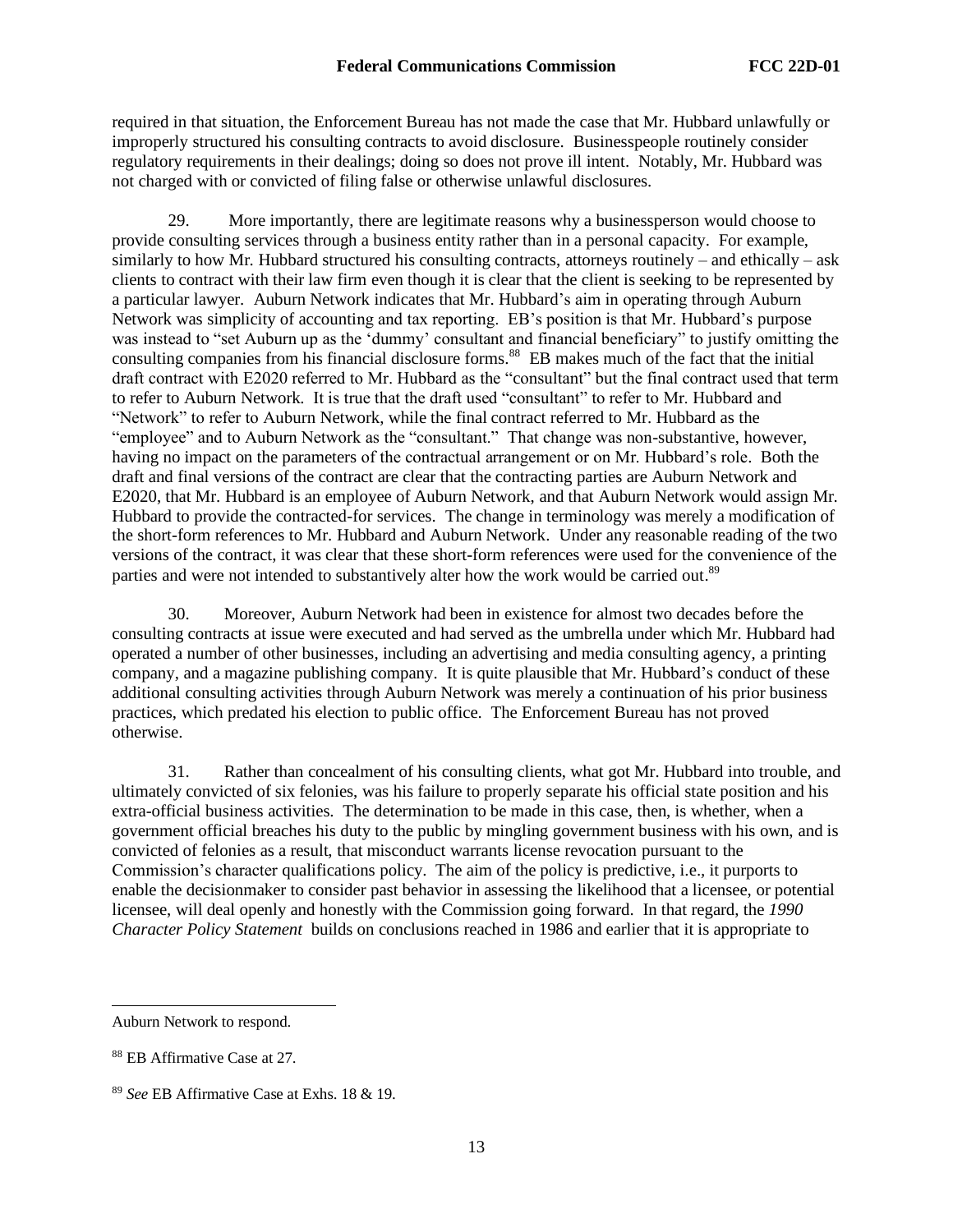required in that situation, the Enforcement Bureau has not made the case that Mr. Hubbard unlawfully or improperly structured his consulting contracts to avoid disclosure. Businesspeople routinely consider regulatory requirements in their dealings; doing so does not prove ill intent. Notably, Mr. Hubbard was not charged with or convicted of filing false or otherwise unlawful disclosures.

29. More importantly, there are legitimate reasons why a businessperson would choose to provide consulting services through a business entity rather than in a personal capacity. For example, similarly to how Mr. Hubbard structured his consulting contracts, attorneys routinely – and ethically – ask clients to contract with their law firm even though it is clear that the client is seeking to be represented by a particular lawyer. Auburn Network indicates that Mr. Hubbard's aim in operating through Auburn Network was simplicity of accounting and tax reporting. EB's position is that Mr. Hubbard's purpose was instead to "set Auburn up as the 'dummy' consultant and financial beneficiary" to justify omitting the consulting companies from his financial disclosure forms.<sup>88</sup> EB makes much of the fact that the initial draft contract with E2020 referred to Mr. Hubbard as the "consultant" but the final contract used that term to refer to Auburn Network. It is true that the draft used "consultant" to refer to Mr. Hubbard and "Network" to refer to Auburn Network, while the final contract referred to Mr. Hubbard as the "employee" and to Auburn Network as the "consultant." That change was non-substantive, however, having no impact on the parameters of the contractual arrangement or on Mr. Hubbard's role. Both the draft and final versions of the contract are clear that the contracting parties are Auburn Network and E2020, that Mr. Hubbard is an employee of Auburn Network, and that Auburn Network would assign Mr. Hubbard to provide the contracted-for services. The change in terminology was merely a modification of the short-form references to Mr. Hubbard and Auburn Network. Under any reasonable reading of the two versions of the contract, it was clear that these short-form references were used for the convenience of the parties and were not intended to substantively alter how the work would be carried out.<sup>89</sup>

30. Moreover, Auburn Network had been in existence for almost two decades before the consulting contracts at issue were executed and had served as the umbrella under which Mr. Hubbard had operated a number of other businesses, including an advertising and media consulting agency, a printing company, and a magazine publishing company. It is quite plausible that Mr. Hubbard's conduct of these additional consulting activities through Auburn Network was merely a continuation of his prior business practices, which predated his election to public office. The Enforcement Bureau has not proved otherwise.

31. Rather than concealment of his consulting clients, what got Mr. Hubbard into trouble, and ultimately convicted of six felonies, was his failure to properly separate his official state position and his extra-official business activities. The determination to be made in this case, then, is whether, when a government official breaches his duty to the public by mingling government business with his own, and is convicted of felonies as a result, that misconduct warrants license revocation pursuant to the Commission's character qualifications policy. The aim of the policy is predictive, i.e.*,* it purports to enable the decisionmaker to consider past behavior in assessing the likelihood that a licensee, or potential licensee, will deal openly and honestly with the Commission going forward. In that regard, the *1990 Character Policy Statement* builds on conclusions reached in 1986 and earlier that it is appropriate to

Auburn Network to respond.

<sup>88</sup> EB Affirmative Case at 27.

<sup>89</sup> *See* EB Affirmative Case at Exhs. 18 & 19.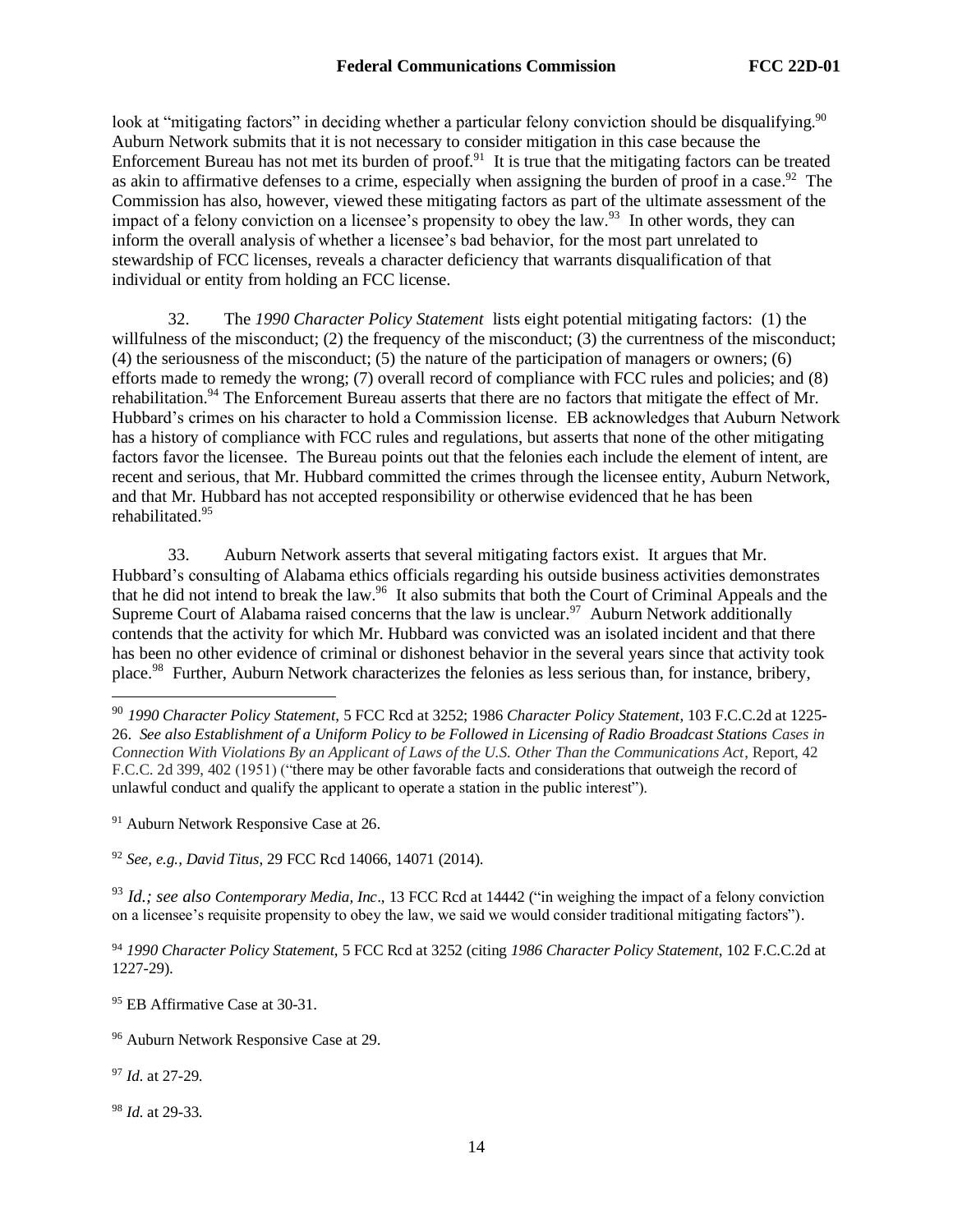look at "mitigating factors" in deciding whether a particular felony conviction should be disqualifying.<sup>90</sup> Auburn Network submits that it is not necessary to consider mitigation in this case because the Enforcement Bureau has not met its burden of  $proof.<sup>91</sup>$  It is true that the mitigating factors can be treated as akin to affirmative defenses to a crime, especially when assigning the burden of proof in a case.<sup>92</sup> The Commission has also, however, viewed these mitigating factors as part of the ultimate assessment of the impact of a felony conviction on a licensee's propensity to obey the law.<sup>93</sup> In other words, they can inform the overall analysis of whether a licensee's bad behavior, for the most part unrelated to stewardship of FCC licenses, reveals a character deficiency that warrants disqualification of that individual or entity from holding an FCC license.

32. The *1990 Character Policy Statement* lists eight potential mitigating factors: (1) the willfulness of the misconduct; (2) the frequency of the misconduct; (3) the currentness of the misconduct; (4) the seriousness of the misconduct; (5) the nature of the participation of managers or owners; (6) efforts made to remedy the wrong; (7) overall record of compliance with FCC rules and policies; and (8) rehabilitation.<sup>94</sup> The Enforcement Bureau asserts that there are no factors that mitigate the effect of Mr. Hubbard's crimes on his character to hold a Commission license. EB acknowledges that Auburn Network has a history of compliance with FCC rules and regulations, but asserts that none of the other mitigating factors favor the licensee. The Bureau points out that the felonies each include the element of intent, are recent and serious, that Mr. Hubbard committed the crimes through the licensee entity, Auburn Network, and that Mr. Hubbard has not accepted responsibility or otherwise evidenced that he has been rehabilitated.<sup>95</sup>

33. Auburn Network asserts that several mitigating factors exist. It argues that Mr. Hubbard's consulting of Alabama ethics officials regarding his outside business activities demonstrates that he did not intend to break the law.<sup>96</sup> It also submits that both the Court of Criminal Appeals and the Supreme Court of Alabama raised concerns that the law is unclear.<sup>97</sup> Auburn Network additionally contends that the activity for which Mr. Hubbard was convicted was an isolated incident and that there has been no other evidence of criminal or dishonest behavior in the several years since that activity took place.<sup>98</sup> Further, Auburn Network characterizes the felonies as less serious than, for instance, bribery,

<sup>91</sup> Auburn Network Responsive Case at 26.

<sup>92</sup> *See, e.g., David Titus*, 29 FCC Rcd 14066, 14071 (2014).

<sup>93</sup> *Id.; see also Contemporary Media, Inc*., 13 FCC Rcd at 14442 ("in weighing the impact of a felony conviction on a licensee's requisite propensity to obey the law, we said we would consider traditional mitigating factors").

<sup>94</sup> *1990 Character Policy Statement*, 5 FCC Rcd at 3252 (citing *1986 Character Policy Statement*, 102 F.C.C.2d at 1227-29).

<sup>95</sup> EB Affirmative Case at 30-31.

<sup>96</sup> Auburn Network Responsive Case at 29.

<sup>97</sup> *Id.* at 27-29.

<sup>98</sup> *Id.* at 29-33.

<sup>90</sup> *1990 Character Policy Statement*, 5 FCC Rcd at 3252; 1986 *Character Policy Statement*, 103 F.C.C.2d at 1225- 26. *See also Establishment of a Uniform Policy to be Followed in Licensing of Radio Broadcast Stations Cases in Connection With Violations By an Applicant of Laws of the U.S. Other Than the Communications Act*, Report, 42 F.C.C. 2d 399, 402 (1951) ("there may be other favorable facts and considerations that outweigh the record of unlawful conduct and qualify the applicant to operate a station in the public interest").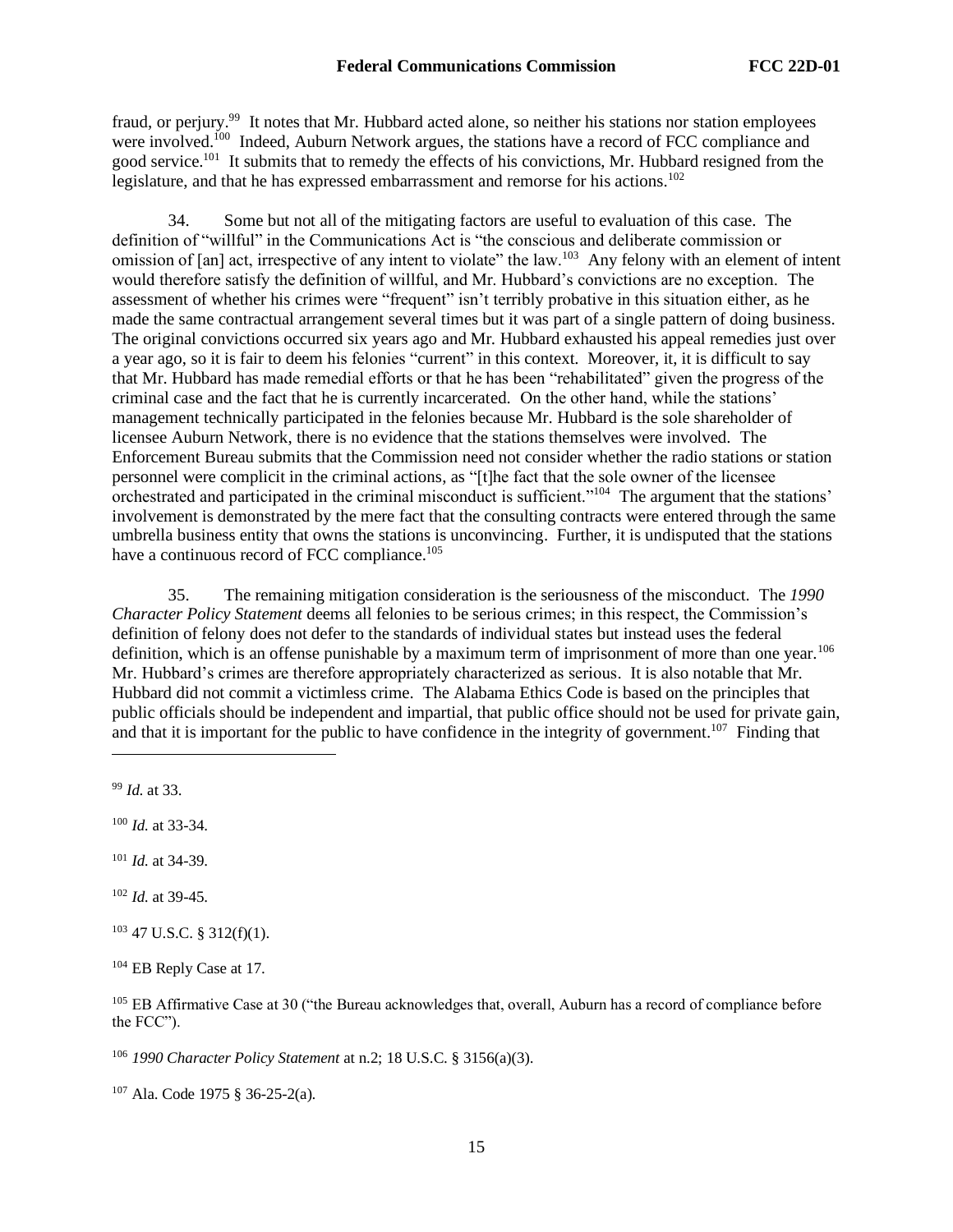fraud, or perjury.<sup>99</sup> It notes that Mr. Hubbard acted alone, so neither his stations nor station employees were involved.<sup>100</sup> Indeed, Auburn Network argues, the stations have a record of FCC compliance and good service.<sup>101</sup> It submits that to remedy the effects of his convictions, Mr. Hubbard resigned from the legislature, and that he has expressed embarrassment and remorse for his actions.<sup>102</sup>

34. Some but not all of the mitigating factors are useful to evaluation of this case. The definition of "willful" in the Communications Act is "the conscious and deliberate commission or omission of [an] act, irrespective of any intent to violate" the law.<sup>103</sup> Any felony with an element of intent would therefore satisfy the definition of willful, and Mr. Hubbard's convictions are no exception. The assessment of whether his crimes were "frequent" isn't terribly probative in this situation either, as he made the same contractual arrangement several times but it was part of a single pattern of doing business. The original convictions occurred six years ago and Mr. Hubbard exhausted his appeal remedies just over a year ago, so it is fair to deem his felonies "current" in this context. Moreover, it, it is difficult to say that Mr. Hubbard has made remedial efforts or that he has been "rehabilitated" given the progress of the criminal case and the fact that he is currently incarcerated. On the other hand, while the stations' management technically participated in the felonies because Mr. Hubbard is the sole shareholder of licensee Auburn Network, there is no evidence that the stations themselves were involved. The Enforcement Bureau submits that the Commission need not consider whether the radio stations or station personnel were complicit in the criminal actions, as "[t]he fact that the sole owner of the licensee orchestrated and participated in the criminal misconduct is sufficient."<sup>104</sup> The argument that the stations' involvement is demonstrated by the mere fact that the consulting contracts were entered through the same umbrella business entity that owns the stations is unconvincing. Further, it is undisputed that the stations have a continuous record of FCC compliance.<sup>105</sup>

35. The remaining mitigation consideration is the seriousness of the misconduct. The *1990 Character Policy Statement* deems all felonies to be serious crimes; in this respect, the Commission's definition of felony does not defer to the standards of individual states but instead uses the federal definition, which is an offense punishable by a maximum term of imprisonment of more than one year.<sup>106</sup> Mr. Hubbard's crimes are therefore appropriately characterized as serious. It is also notable that Mr. Hubbard did not commit a victimless crime. The Alabama Ethics Code is based on the principles that public officials should be independent and impartial, that public office should not be used for private gain, and that it is important for the public to have confidence in the integrity of government.<sup>107</sup> Finding that

<sup>99</sup> *Id.* at 33.

<sup>100</sup> *Id.* at 33-34.

<sup>101</sup> *Id.* at 34-39.

<sup>102</sup> *Id.* at 39-45.

<sup>103</sup> 47 U.S.C. § 312(f)(1).

<sup>104</sup> EB Reply Case at 17.

<sup>105</sup> EB Affirmative Case at 30 ("the Bureau acknowledges that, overall, Auburn has a record of compliance before the FCC").

<sup>106</sup> *1990 Character Policy Statement* at n.2; 18 U.S.C. § 3156(a)(3).

<sup>107</sup> Ala. Code 1975 § 36-25-2(a).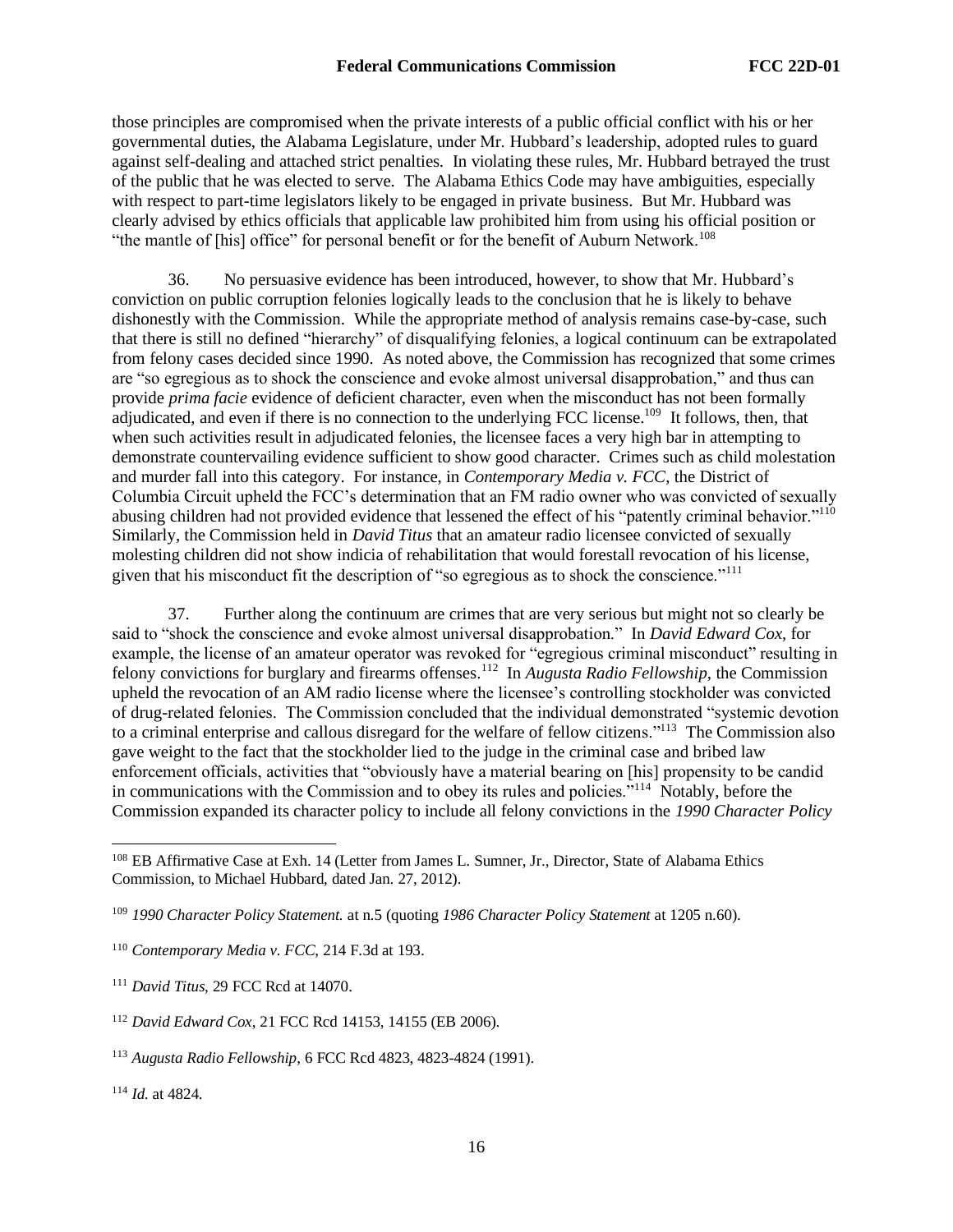those principles are compromised when the private interests of a public official conflict with his or her governmental duties, the Alabama Legislature, under Mr. Hubbard's leadership, adopted rules to guard against self-dealing and attached strict penalties. In violating these rules, Mr. Hubbard betrayed the trust of the public that he was elected to serve. The Alabama Ethics Code may have ambiguities, especially with respect to part-time legislators likely to be engaged in private business. But Mr. Hubbard was clearly advised by ethics officials that applicable law prohibited him from using his official position or "the mantle of [his] office" for personal benefit or for the benefit of Auburn Network.<sup>108</sup>

36. No persuasive evidence has been introduced, however, to show that Mr. Hubbard's conviction on public corruption felonies logically leads to the conclusion that he is likely to behave dishonestly with the Commission. While the appropriate method of analysis remains case-by-case, such that there is still no defined "hierarchy" of disqualifying felonies, a logical continuum can be extrapolated from felony cases decided since 1990. As noted above, the Commission has recognized that some crimes are "so egregious as to shock the conscience and evoke almost universal disapprobation," and thus can provide *prima facie* evidence of deficient character, even when the misconduct has not been formally adjudicated, and even if there is no connection to the underlying FCC license.<sup>109</sup> It follows, then, that when such activities result in adjudicated felonies, the licensee faces a very high bar in attempting to demonstrate countervailing evidence sufficient to show good character. Crimes such as child molestation and murder fall into this category. For instance, in *Contemporary Media v. FCC*, the District of Columbia Circuit upheld the FCC's determination that an FM radio owner who was convicted of sexually abusing children had not provided evidence that lessened the effect of his "patently criminal behavior."<sup>110</sup> Similarly, the Commission held in *David Titus* that an amateur radio licensee convicted of sexually molesting children did not show indicia of rehabilitation that would forestall revocation of his license, given that his misconduct fit the description of "so egregious as to shock the conscience."<sup>111</sup>

37. Further along the continuum are crimes that are very serious but might not so clearly be said to "shock the conscience and evoke almost universal disapprobation." In *David Edward Cox*, for example, the license of an amateur operator was revoked for "egregious criminal misconduct" resulting in felony convictions for burglary and firearms offenses.<sup>112</sup> In *Augusta Radio Fellowship*, the Commission upheld the revocation of an AM radio license where the licensee's controlling stockholder was convicted of drug-related felonies. The Commission concluded that the individual demonstrated "systemic devotion to a criminal enterprise and callous disregard for the welfare of fellow citizens."<sup>113</sup> The Commission also gave weight to the fact that the stockholder lied to the judge in the criminal case and bribed law enforcement officials, activities that "obviously have a material bearing on [his] propensity to be candid in communications with the Commission and to obey its rules and policies."<sup>114</sup> Notably, before the Commission expanded its character policy to include all felony convictions in the *1990 Character Policy* 

<sup>114</sup> *Id.* at 4824.

<sup>108</sup> EB Affirmative Case at Exh. 14 (Letter from James L. Sumner, Jr., Director, State of Alabama Ethics Commission, to Michael Hubbard, dated Jan. 27, 2012).

<sup>109</sup> *1990 Character Policy Statement.* at n.5 (quoting *1986 Character Policy Statement* at 1205 n.60).

<sup>110</sup> *Contemporary Media v. FCC*, 214 F.3d at 193.

<sup>111</sup> *David Titus*, 29 FCC Rcd at 14070.

<sup>112</sup> *David Edward Cox*, 21 FCC Rcd 14153, 14155 (EB 2006).

<sup>113</sup> *Augusta Radio Fellowship*, 6 FCC Rcd 4823, 4823-4824 (1991).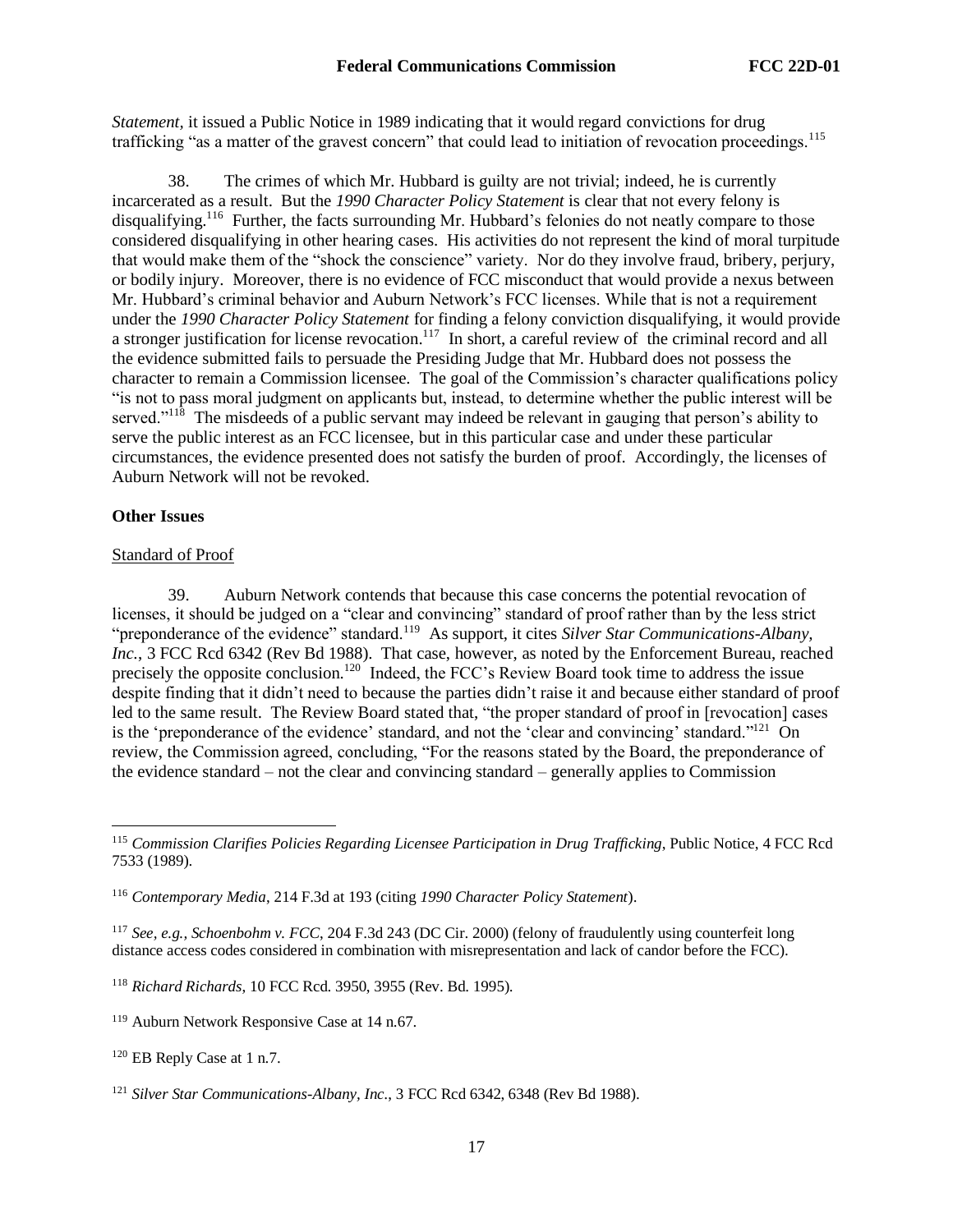*Statement,* it issued a Public Notice in 1989 indicating that it would regard convictions for drug trafficking "as a matter of the gravest concern" that could lead to initiation of revocation proceedings.<sup>115</sup>

38. The crimes of which Mr. Hubbard is guilty are not trivial; indeed, he is currently incarcerated as a result. But the *1990 Character Policy Statement* is clear that not every felony is disqualifying.<sup>116</sup> Further, the facts surrounding Mr. Hubbard's felonies do not neatly compare to those considered disqualifying in other hearing cases. His activities do not represent the kind of moral turpitude that would make them of the "shock the conscience" variety. Nor do they involve fraud, bribery, perjury, or bodily injury. Moreover, there is no evidence of FCC misconduct that would provide a nexus between Mr. Hubbard's criminal behavior and Auburn Network's FCC licenses. While that is not a requirement under the *1990 Character Policy Statement* for finding a felony conviction disqualifying, it would provide a stronger justification for license revocation.<sup>117</sup> In short, a careful review of the criminal record and all the evidence submitted fails to persuade the Presiding Judge that Mr. Hubbard does not possess the character to remain a Commission licensee. The goal of the Commission's character qualifications policy "is not to pass moral judgment on applicants but, instead, to determine whether the public interest will be served."<sup>118</sup> The misdeeds of a public servant may indeed be relevant in gauging that person's ability to serve the public interest as an FCC licensee, but in this particular case and under these particular circumstances, the evidence presented does not satisfy the burden of proof. Accordingly, the licenses of Auburn Network will not be revoked.

## **Other Issues**

## Standard of Proof

39. Auburn Network contends that because this case concerns the potential revocation of licenses, it should be judged on a "clear and convincing" standard of proof rather than by the less strict "preponderance of the evidence" standard.<sup>119</sup> As support, it cites *Silver Star Communications-Albany*, *Inc.*, 3 FCC Rcd 6342 (Rev Bd 1988). That case, however, as noted by the Enforcement Bureau, reached precisely the opposite conclusion.<sup>120</sup> Indeed, the FCC's Review Board took time to address the issue despite finding that it didn't need to because the parties didn't raise it and because either standard of proof led to the same result. The Review Board stated that, "the proper standard of proof in [revocation] cases is the 'preponderance of the evidence' standard, and not the 'clear and convincing' standard."<sup>121</sup> On review, the Commission agreed, concluding, "For the reasons stated by the Board, the preponderance of the evidence standard – not the clear and convincing standard – generally applies to Commission

<sup>117</sup> *See, e.g., Schoenbohm v. FCC*, 204 F.3d 243 (DC Cir. 2000) (felony of fraudulently using counterfeit long distance access codes considered in combination with misrepresentation and lack of candor before the FCC).

<sup>118</sup> *Richard Richards*, 10 FCC Rcd. 3950, 3955 (Rev. Bd. 1995).

<sup>115</sup> *Commission Clarifies Policies Regarding Licensee Participation in Drug Trafficking*, Public Notice, 4 FCC Rcd 7533 (1989).

<sup>116</sup> *Contemporary Media*, 214 F.3d at 193 (citing *1990 Character Policy Statement*).

<sup>119</sup> Auburn Network Responsive Case at 14 n.67.

<sup>120</sup> EB Reply Case at 1 n.7.

<sup>121</sup> *Silver Star Communications-Albany, Inc.*, 3 FCC Rcd 6342, 6348 (Rev Bd 1988).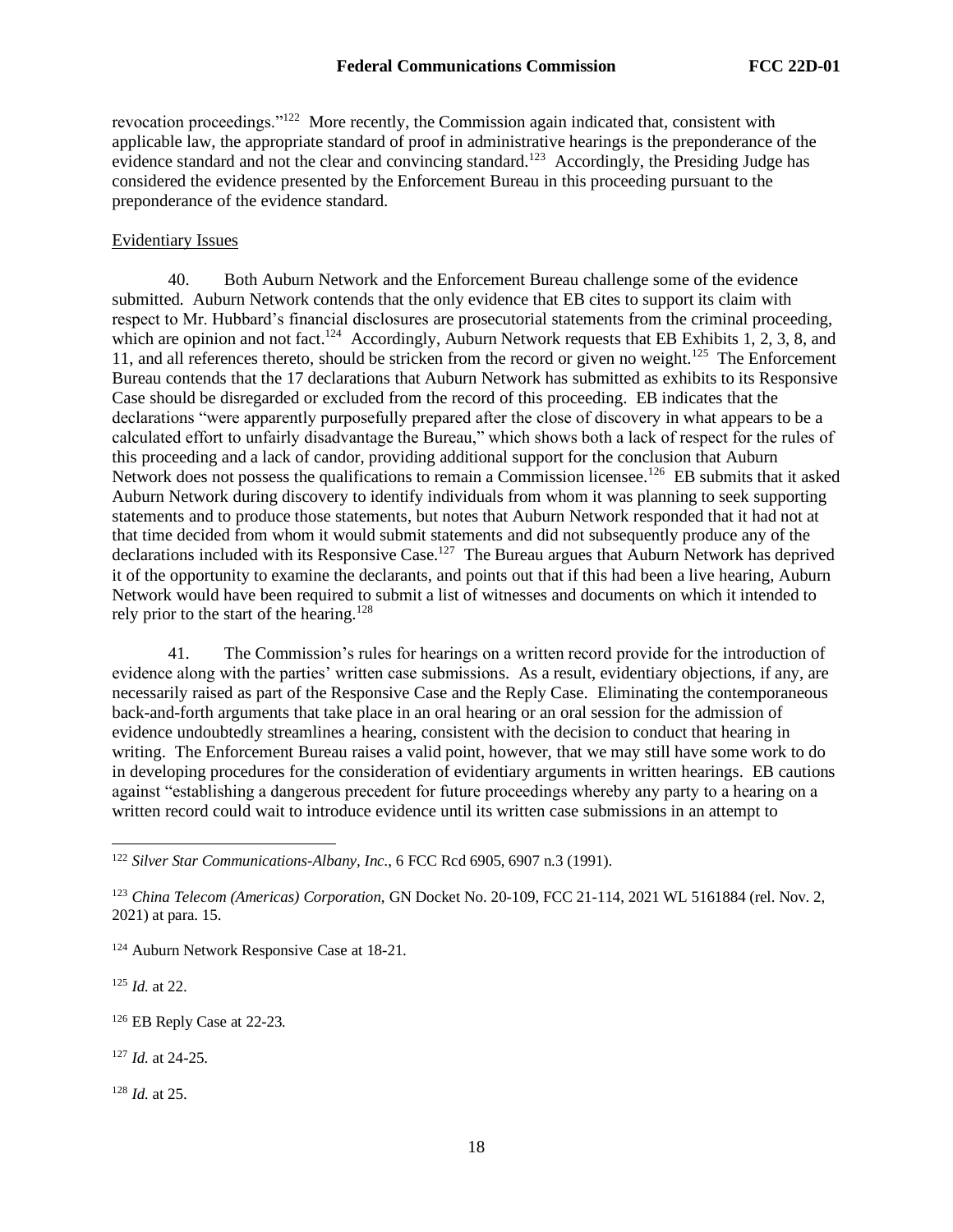revocation proceedings."<sup>122</sup> More recently, the Commission again indicated that, consistent with applicable law, the appropriate standard of proof in administrative hearings is the preponderance of the evidence standard and not the clear and convincing standard.<sup>123</sup> Accordingly, the Presiding Judge has considered the evidence presented by the Enforcement Bureau in this proceeding pursuant to the preponderance of the evidence standard.

## Evidentiary Issues

40. Both Auburn Network and the Enforcement Bureau challenge some of the evidence submitted. Auburn Network contends that the only evidence that EB cites to support its claim with respect to Mr. Hubbard's financial disclosures are prosecutorial statements from the criminal proceeding, which are opinion and not fact.<sup>124</sup> Accordingly, Auburn Network requests that EB Exhibits 1, 2, 3, 8, and 11, and all references thereto, should be stricken from the record or given no weight.<sup>125</sup> The Enforcement Bureau contends that the 17 declarations that Auburn Network has submitted as exhibits to its Responsive Case should be disregarded or excluded from the record of this proceeding. EB indicates that the declarations "were apparently purposefully prepared after the close of discovery in what appears to be a calculated effort to unfairly disadvantage the Bureau," which shows both a lack of respect for the rules of this proceeding and a lack of candor, providing additional support for the conclusion that Auburn Network does not possess the qualifications to remain a Commission licensee.<sup>126</sup> EB submits that it asked Auburn Network during discovery to identify individuals from whom it was planning to seek supporting statements and to produce those statements, but notes that Auburn Network responded that it had not at that time decided from whom it would submit statements and did not subsequently produce any of the declarations included with its Responsive Case.<sup>127</sup> The Bureau argues that Auburn Network has deprived it of the opportunity to examine the declarants, and points out that if this had been a live hearing, Auburn Network would have been required to submit a list of witnesses and documents on which it intended to rely prior to the start of the hearing.<sup>128</sup>

41. The Commission's rules for hearings on a written record provide for the introduction of evidence along with the parties' written case submissions. As a result, evidentiary objections, if any, are necessarily raised as part of the Responsive Case and the Reply Case. Eliminating the contemporaneous back-and-forth arguments that take place in an oral hearing or an oral session for the admission of evidence undoubtedly streamlines a hearing, consistent with the decision to conduct that hearing in writing. The Enforcement Bureau raises a valid point, however, that we may still have some work to do in developing procedures for the consideration of evidentiary arguments in written hearings. EB cautions against "establishing a dangerous precedent for future proceedings whereby any party to a hearing on a written record could wait to introduce evidence until its written case submissions in an attempt to

<sup>124</sup> Auburn Network Responsive Case at 18-21.

<sup>125</sup> *Id.* at 22.

<sup>126</sup> EB Reply Case at 22-23*.*

<sup>127</sup> *Id.* at 24-25.

<sup>128</sup> *Id.* at 25.

<sup>122</sup> *Silver Star Communications-Albany, Inc.*, 6 FCC Rcd 6905, 6907 n.3 (1991).

<sup>123</sup> *China Telecom (Americas) Corporation*, GN Docket No. 20-109, FCC 21-114, 2021 WL 5161884 (rel. Nov. 2, 2021) at para. 15.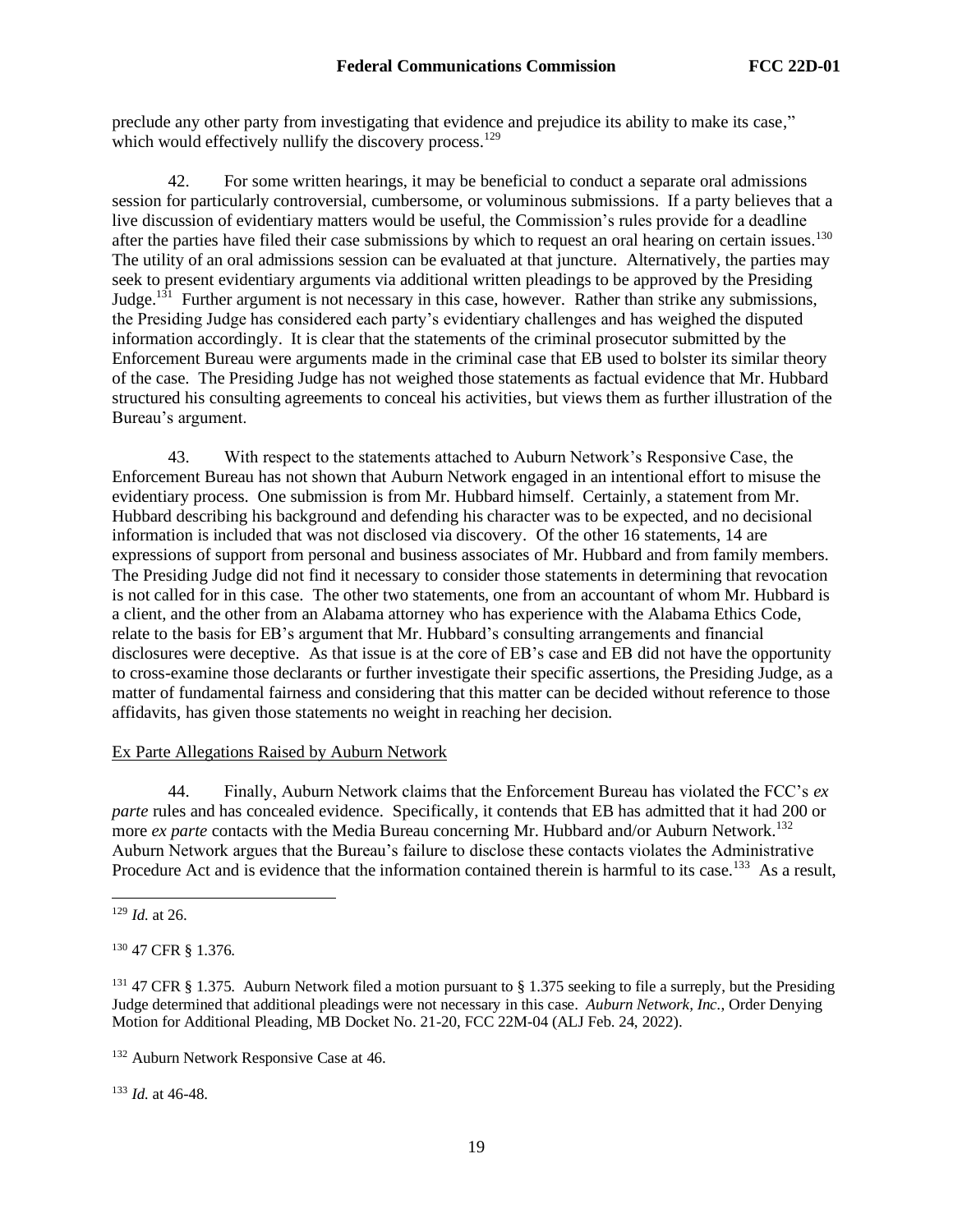preclude any other party from investigating that evidence and prejudice its ability to make its case," which would effectively nullify the discovery process.<sup>129</sup>

42. For some written hearings, it may be beneficial to conduct a separate oral admissions session for particularly controversial, cumbersome, or voluminous submissions. If a party believes that a live discussion of evidentiary matters would be useful, the Commission's rules provide for a deadline after the parties have filed their case submissions by which to request an oral hearing on certain issues.<sup>130</sup> The utility of an oral admissions session can be evaluated at that juncture. Alternatively, the parties may seek to present evidentiary arguments via additional written pleadings to be approved by the Presiding Judge. $131$  Further argument is not necessary in this case, however. Rather than strike any submissions, the Presiding Judge has considered each party's evidentiary challenges and has weighed the disputed information accordingly. It is clear that the statements of the criminal prosecutor submitted by the Enforcement Bureau were arguments made in the criminal case that EB used to bolster its similar theory of the case. The Presiding Judge has not weighed those statements as factual evidence that Mr. Hubbard structured his consulting agreements to conceal his activities, but views them as further illustration of the Bureau's argument.

43. With respect to the statements attached to Auburn Network's Responsive Case, the Enforcement Bureau has not shown that Auburn Network engaged in an intentional effort to misuse the evidentiary process. One submission is from Mr. Hubbard himself. Certainly, a statement from Mr. Hubbard describing his background and defending his character was to be expected, and no decisional information is included that was not disclosed via discovery. Of the other 16 statements, 14 are expressions of support from personal and business associates of Mr. Hubbard and from family members. The Presiding Judge did not find it necessary to consider those statements in determining that revocation is not called for in this case. The other two statements, one from an accountant of whom Mr. Hubbard is a client, and the other from an Alabama attorney who has experience with the Alabama Ethics Code, relate to the basis for EB's argument that Mr. Hubbard's consulting arrangements and financial disclosures were deceptive. As that issue is at the core of EB's case and EB did not have the opportunity to cross-examine those declarants or further investigate their specific assertions, the Presiding Judge, as a matter of fundamental fairness and considering that this matter can be decided without reference to those affidavits, has given those statements no weight in reaching her decision.

## Ex Parte Allegations Raised by Auburn Network

44. Finally, Auburn Network claims that the Enforcement Bureau has violated the FCC's *ex parte* rules and has concealed evidence. Specifically, it contends that EB has admitted that it had 200 or more *ex parte* contacts with the Media Bureau concerning Mr. Hubbard and/or Auburn Network.<sup>132</sup> Auburn Network argues that the Bureau's failure to disclose these contacts violates the Administrative Procedure Act and is evidence that the information contained therein is harmful to its case.<sup>133</sup> As a result,

<sup>130</sup> 47 CFR § 1.376.

<sup>133</sup> *Id.* at 46-48.

<sup>129</sup> *Id.* at 26.

<sup>&</sup>lt;sup>131</sup> 47 CFR § 1.375. Auburn Network filed a motion pursuant to § 1.375 seeking to file a surreply, but the Presiding Judge determined that additional pleadings were not necessary in this case. *Auburn Network, Inc.*, Order Denying Motion for Additional Pleading, MB Docket No. 21-20, FCC 22M-04 (ALJ Feb. 24, 2022).

<sup>&</sup>lt;sup>132</sup> Auburn Network Responsive Case at 46.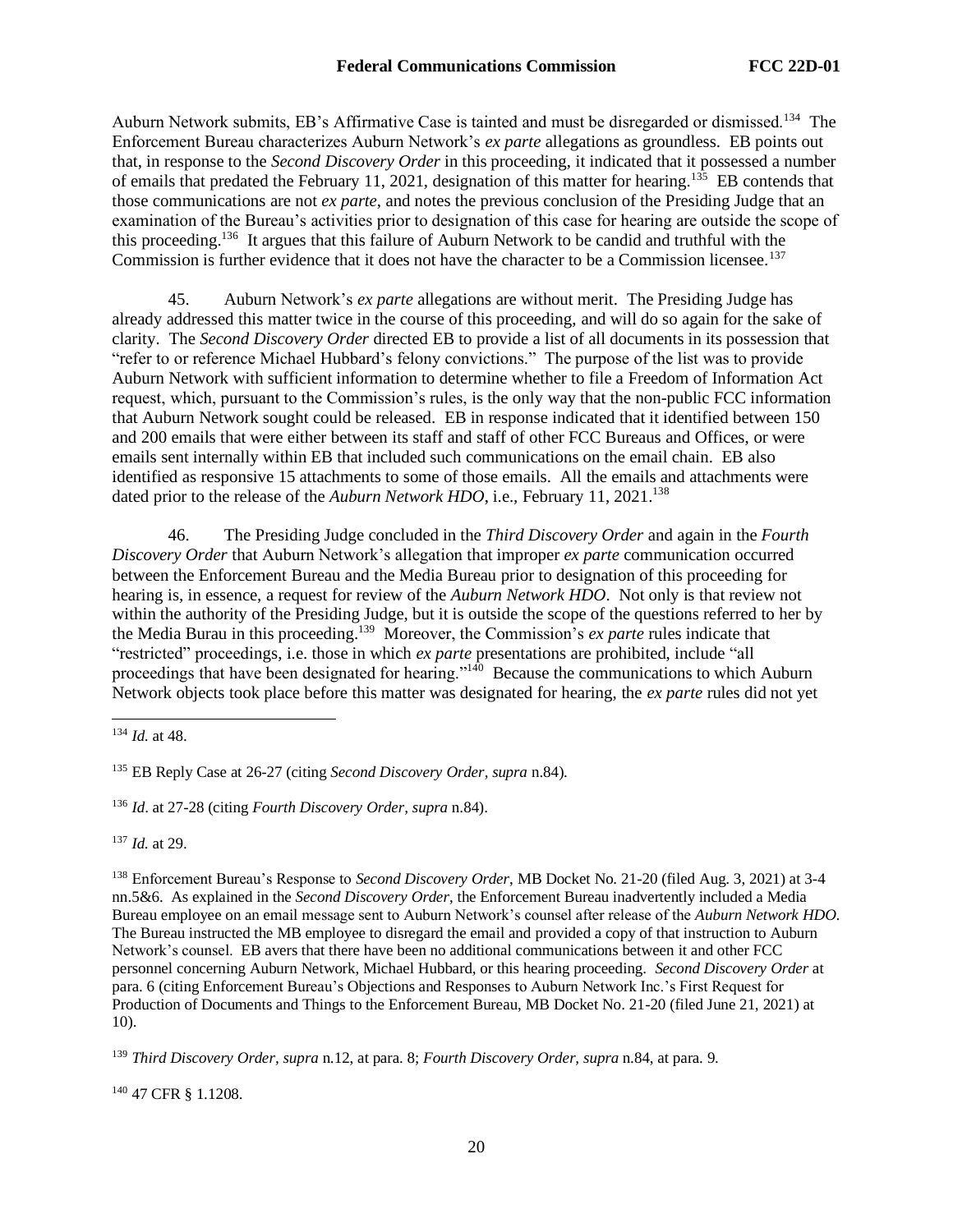Auburn Network submits, EB's Affirmative Case is tainted and must be disregarded or dismissed.<sup>134</sup> The Enforcement Bureau characterizes Auburn Network's *ex parte* allegations as groundless. EB points out that, in response to the *Second Discovery Order* in this proceeding, it indicated that it possessed a number of emails that predated the February 11, 2021, designation of this matter for hearing.<sup>135</sup> EB contends that those communications are not *ex parte*, and notes the previous conclusion of the Presiding Judge that an examination of the Bureau's activities prior to designation of this case for hearing are outside the scope of this proceeding.<sup>136</sup> It argues that this failure of Auburn Network to be candid and truthful with the Commission is further evidence that it does not have the character to be a Commission licensee.<sup>137</sup>

45. Auburn Network's *ex parte* allegations are without merit. The Presiding Judge has already addressed this matter twice in the course of this proceeding, and will do so again for the sake of clarity. The *Second Discovery Order* directed EB to provide a list of all documents in its possession that "refer to or reference Michael Hubbard's felony convictions." The purpose of the list was to provide Auburn Network with sufficient information to determine whether to file a Freedom of Information Act request, which, pursuant to the Commission's rules, is the only way that the non-public FCC information that Auburn Network sought could be released. EB in response indicated that it identified between 150 and 200 emails that were either between its staff and staff of other FCC Bureaus and Offices, or were emails sent internally within EB that included such communications on the email chain. EB also identified as responsive 15 attachments to some of those emails. All the emails and attachments were dated prior to the release of the *Auburn Network HDO*, i.e., February 11, 2021.<sup>138</sup>

46. The Presiding Judge concluded in the *Third Discovery Order* and again in the *Fourth Discovery Order* that Auburn Network's allegation that improper *ex parte* communication occurred between the Enforcement Bureau and the Media Bureau prior to designation of this proceeding for hearing is, in essence, a request for review of the *Auburn Network HDO*. Not only is that review not within the authority of the Presiding Judge, but it is outside the scope of the questions referred to her by the Media Burau in this proceeding.<sup>139</sup> Moreover, the Commission's *ex parte* rules indicate that "restricted" proceedings, i.e. those in which *ex parte* presentations are prohibited, include "all proceedings that have been designated for hearing."<sup>140</sup> Because the communications to which Auburn Network objects took place before this matter was designated for hearing, the *ex parte* rules did not yet

<sup>137</sup> *Id.* at 29.

<sup>138</sup> Enforcement Bureau's Response to *Second Discovery Order*, MB Docket No. 21-20 (filed Aug. 3, 2021) at 3-4 nn.5&6. As explained in the *Second Discovery Order*, the Enforcement Bureau inadvertently included a Media Bureau employee on an email message sent to Auburn Network's counsel after release of the *Auburn Network HDO.*  The Bureau instructed the MB employee to disregard the email and provided a copy of that instruction to Auburn Network's counsel. EB avers that there have been no additional communications between it and other FCC personnel concerning Auburn Network, Michael Hubbard, or this hearing proceeding. *Second Discovery Order* at para. 6 (citing Enforcement Bureau's Objections and Responses to Auburn Network Inc.'s First Request for Production of Documents and Things to the Enforcement Bureau, MB Docket No. 21-20 (filed June 21, 2021) at 10).

<sup>139</sup> *Third Discovery Order, supra* n.12, at para. 8; *Fourth Discovery Order, supra* n.84, at para. 9.

<sup>140</sup> 47 CFR § 1.1208.

<sup>134</sup> *Id.* at 48.

<sup>135</sup> EB Reply Case at 26-27 (citing *Second Discovery Order, supra* n.84).

<sup>136</sup> *Id*. at 27-28 (citing *Fourth Discovery Order, supra* n.84).